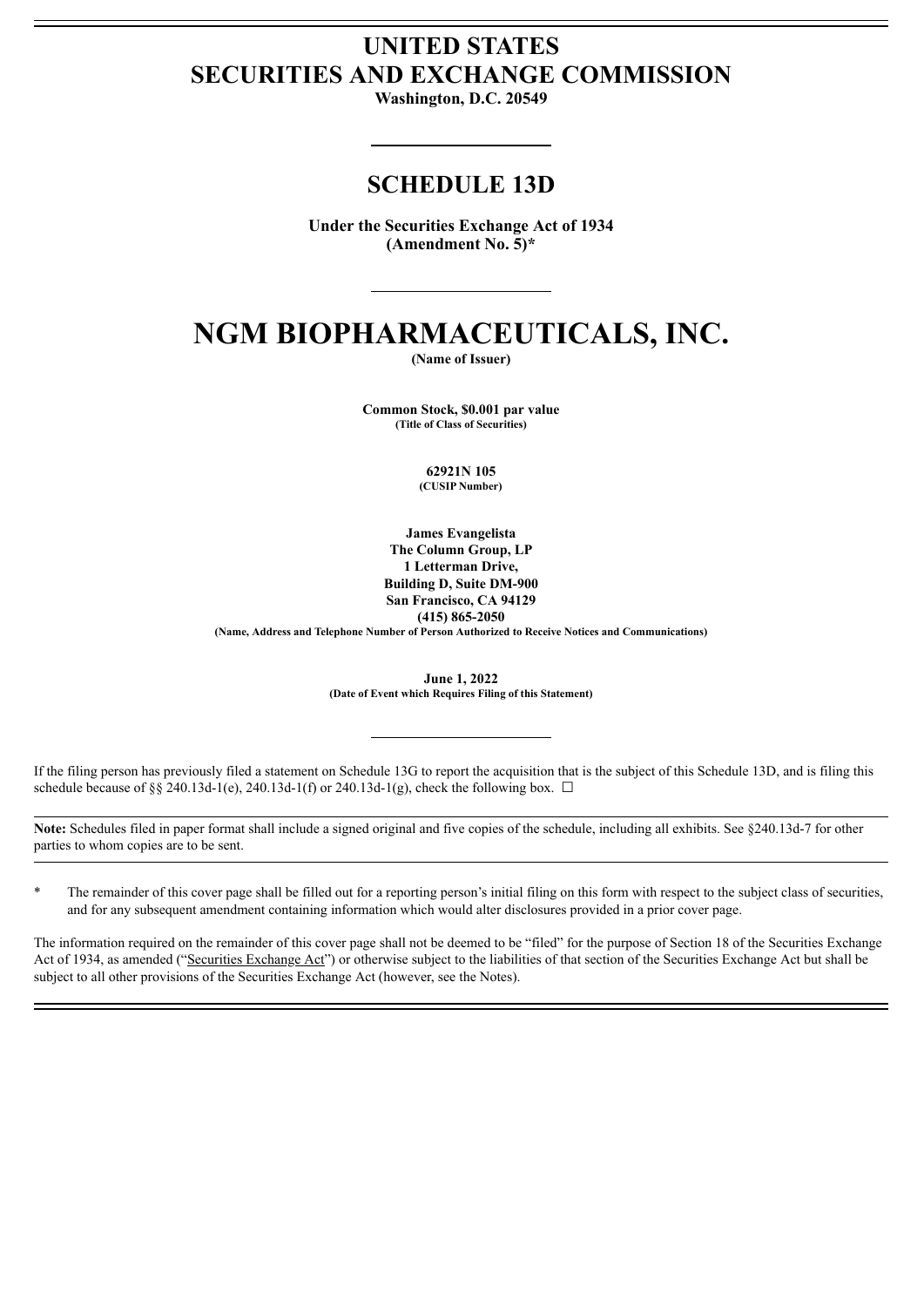# **UNITED STATES SECURITIES AND EXCHANGE COMMISSION**

**Washington, D.C. 20549**

# **SCHEDULE 13D**

**Under the Securities Exchange Act of 1934 (Amendment No. 5)\***

# **NGM BIOPHARMACEUTICALS, INC.**

**(Name of Issuer)**

**Common Stock, \$0.001 par value (Title of Class of Securities)**

> **62921N 105 (CUSIP Number)**

**James Evangelista The Column Group, LP 1 Letterman Drive, Building D, Suite DM-900 San Francisco, CA 94129 (415) 865-2050**

**(Name, Address and Telephone Number of Person Authorized to Receive Notices and Communications)**

**June 1, 2022 (Date of Event which Requires Filing of this Statement)**

If the filing person has previously filed a statement on Schedule 13G to report the acquisition that is the subject of this Schedule 13D, and is filing this schedule because of §§ 240.13d-1(e), 240.13d-1(f) or 240.13d-1(g), check the following box.  $\Box$ 

**Note:** Schedules filed in paper format shall include a signed original and five copies of the schedule, including all exhibits. See §240.13d-7 for other parties to whom copies are to be sent.

\* The remainder of this cover page shall be filled out for a reporting person's initial filing on this form with respect to the subject class of securities, and for any subsequent amendment containing information which would alter disclosures provided in a prior cover page.

The information required on the remainder of this cover page shall not be deemed to be "filed" for the purpose of Section 18 of the Securities Exchange Act of 1934, as amended ("Securities Exchange Act") or otherwise subject to the liabilities of that section of the Securities Exchange Act but shall be subject to all other provisions of the Securities Exchange Act (however, see the Notes).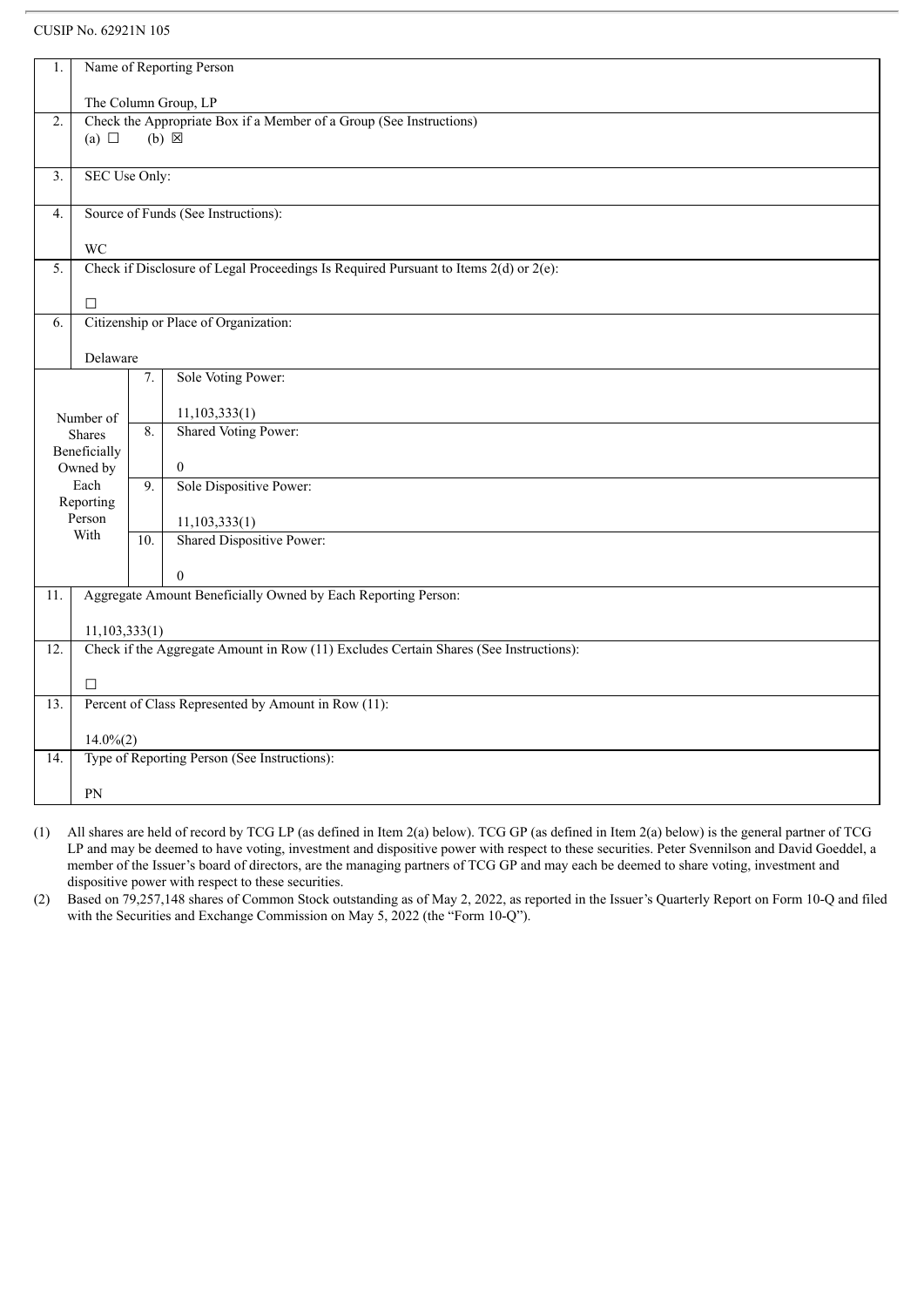| 1.               |                                                                                             |     | Name of Reporting Person                                                                  |  |  |  |
|------------------|---------------------------------------------------------------------------------------------|-----|-------------------------------------------------------------------------------------------|--|--|--|
|                  |                                                                                             |     |                                                                                           |  |  |  |
| $\overline{2}$ . | The Column Group, LP<br>Check the Appropriate Box if a Member of a Group (See Instructions) |     |                                                                                           |  |  |  |
|                  | (a) $\Box$                                                                                  |     | $(b) \boxtimes$                                                                           |  |  |  |
|                  |                                                                                             |     |                                                                                           |  |  |  |
| 3.               | SEC Use Only:                                                                               |     |                                                                                           |  |  |  |
|                  |                                                                                             |     |                                                                                           |  |  |  |
| $\overline{4}$ . |                                                                                             |     | Source of Funds (See Instructions):                                                       |  |  |  |
|                  | <b>WC</b>                                                                                   |     |                                                                                           |  |  |  |
| 5.               |                                                                                             |     | Check if Disclosure of Legal Proceedings Is Required Pursuant to Items $2(d)$ or $2(e)$ : |  |  |  |
|                  |                                                                                             |     |                                                                                           |  |  |  |
|                  | $\Box$                                                                                      |     |                                                                                           |  |  |  |
| 6.               |                                                                                             |     | Citizenship or Place of Organization:                                                     |  |  |  |
|                  |                                                                                             |     |                                                                                           |  |  |  |
|                  | Delaware                                                                                    |     |                                                                                           |  |  |  |
|                  |                                                                                             | 7.  | Sole Voting Power:                                                                        |  |  |  |
|                  |                                                                                             |     | 11, 103, 333(1)                                                                           |  |  |  |
|                  | Number of<br>Shares                                                                         | 8.  | <b>Shared Voting Power:</b>                                                               |  |  |  |
|                  | Beneficially                                                                                |     |                                                                                           |  |  |  |
|                  | Owned by                                                                                    |     | $\overline{0}$                                                                            |  |  |  |
|                  | Each                                                                                        | 9.  | Sole Dispositive Power:                                                                   |  |  |  |
|                  | Reporting                                                                                   |     |                                                                                           |  |  |  |
|                  | Person<br>With                                                                              |     | 11, 103, 333(1)                                                                           |  |  |  |
|                  |                                                                                             | 10. | <b>Shared Dispositive Power:</b>                                                          |  |  |  |
|                  |                                                                                             |     | $\Omega$                                                                                  |  |  |  |
| 11.              |                                                                                             |     | Aggregate Amount Beneficially Owned by Each Reporting Person:                             |  |  |  |
|                  |                                                                                             |     |                                                                                           |  |  |  |
|                  | 11,103,333(1)                                                                               |     |                                                                                           |  |  |  |
| 12.              |                                                                                             |     | Check if the Aggregate Amount in Row (11) Excludes Certain Shares (See Instructions):     |  |  |  |
|                  | $\Box$                                                                                      |     |                                                                                           |  |  |  |
| 13.              |                                                                                             |     | Percent of Class Represented by Amount in Row (11):                                       |  |  |  |
|                  |                                                                                             |     |                                                                                           |  |  |  |
|                  | $14.0\%(2)$                                                                                 |     |                                                                                           |  |  |  |
| 14.              |                                                                                             |     | Type of Reporting Person (See Instructions):                                              |  |  |  |
|                  | PN                                                                                          |     |                                                                                           |  |  |  |
|                  |                                                                                             |     |                                                                                           |  |  |  |

(1) All shares are held of record by TCG LP (as defined in Item 2(a) below). TCG GP (as defined in Item 2(a) below) is the general partner of TCG LP and may be deemed to have voting, investment and dispositive power with respect to these securities. Peter Svennilson and David Goeddel, a member of the Issuer's board of directors, are the managing partners of TCG GP and may each be deemed to share voting, investment and dispositive power with respect to these securities.

(2) Based on 79,257,148 shares of Common Stock outstanding as of May 2, 2022, as reported in the Issuer's Quarterly Report on Form 10-Q and filed with the Securities and Exchange Commission on May 5, 2022 (the "Form 10-Q").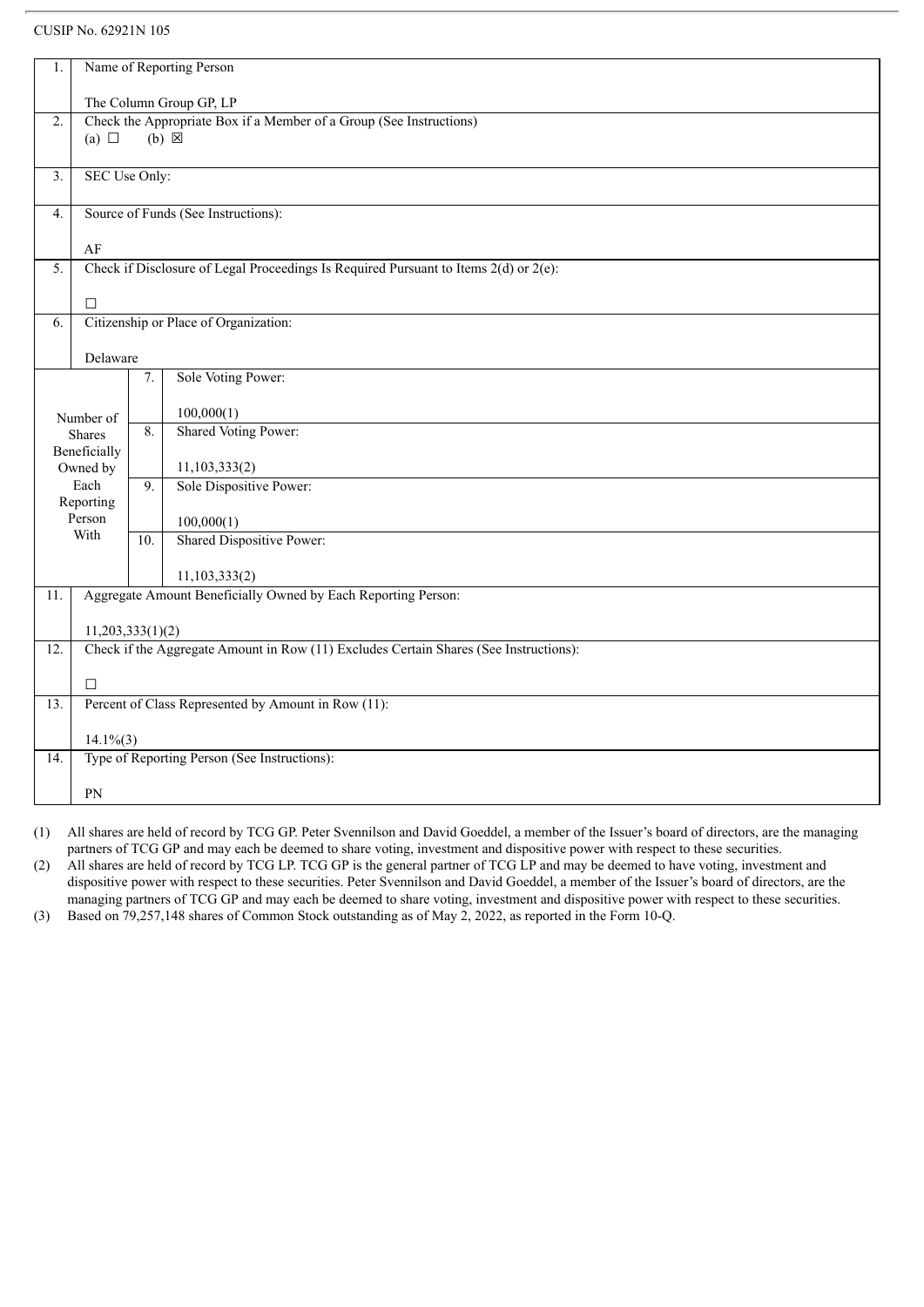| 1.               | Name of Reporting Person                            |                                                                                     |                                                                                           |  |  |  |
|------------------|-----------------------------------------------------|-------------------------------------------------------------------------------------|-------------------------------------------------------------------------------------------|--|--|--|
|                  |                                                     |                                                                                     |                                                                                           |  |  |  |
|                  | The Column Group GP, LP                             |                                                                                     |                                                                                           |  |  |  |
| 2.               | (a) $\Box$                                          | Check the Appropriate Box if a Member of a Group (See Instructions)<br>$(b) \times$ |                                                                                           |  |  |  |
|                  |                                                     |                                                                                     |                                                                                           |  |  |  |
| $\overline{3}$ . | SEC Use Only:                                       |                                                                                     |                                                                                           |  |  |  |
|                  |                                                     |                                                                                     |                                                                                           |  |  |  |
| 4.               |                                                     |                                                                                     | Source of Funds (See Instructions):                                                       |  |  |  |
|                  | AF                                                  |                                                                                     |                                                                                           |  |  |  |
| 5.               |                                                     |                                                                                     | Check if Disclosure of Legal Proceedings Is Required Pursuant to Items $2(d)$ or $2(e)$ : |  |  |  |
|                  |                                                     |                                                                                     |                                                                                           |  |  |  |
|                  | $\Box$                                              |                                                                                     |                                                                                           |  |  |  |
| 6.               |                                                     |                                                                                     | Citizenship or Place of Organization:                                                     |  |  |  |
|                  | Delaware                                            |                                                                                     |                                                                                           |  |  |  |
|                  |                                                     | 7.                                                                                  | Sole Voting Power:                                                                        |  |  |  |
|                  |                                                     |                                                                                     |                                                                                           |  |  |  |
|                  | Number of                                           |                                                                                     | 100,000(1)                                                                                |  |  |  |
|                  | <b>Shares</b>                                       | 8.                                                                                  | <b>Shared Voting Power:</b>                                                               |  |  |  |
|                  | Beneficially                                        |                                                                                     |                                                                                           |  |  |  |
|                  | Owned by                                            |                                                                                     | 11, 103, 333(2)                                                                           |  |  |  |
|                  | Each                                                | 9.                                                                                  | Sole Dispositive Power:                                                                   |  |  |  |
|                  | Reporting                                           |                                                                                     |                                                                                           |  |  |  |
|                  | Person<br>With                                      |                                                                                     | 100,000(1)                                                                                |  |  |  |
|                  |                                                     | 10.                                                                                 | Shared Dispositive Power:                                                                 |  |  |  |
|                  |                                                     |                                                                                     | 11, 103, 333(2)                                                                           |  |  |  |
| 11.              |                                                     |                                                                                     | Aggregate Amount Beneficially Owned by Each Reporting Person:                             |  |  |  |
|                  |                                                     |                                                                                     |                                                                                           |  |  |  |
|                  | 11,203,333(1)(2)                                    |                                                                                     |                                                                                           |  |  |  |
| 12.              |                                                     |                                                                                     | Check if the Aggregate Amount in Row (11) Excludes Certain Shares (See Instructions):     |  |  |  |
|                  | $\Box$                                              |                                                                                     |                                                                                           |  |  |  |
| 13.              | Percent of Class Represented by Amount in Row (11): |                                                                                     |                                                                                           |  |  |  |
|                  |                                                     |                                                                                     |                                                                                           |  |  |  |
|                  | $14.1\%(3)$                                         |                                                                                     |                                                                                           |  |  |  |
| 14.              |                                                     |                                                                                     | Type of Reporting Person (See Instructions):                                              |  |  |  |
|                  | PN                                                  |                                                                                     |                                                                                           |  |  |  |
|                  |                                                     |                                                                                     |                                                                                           |  |  |  |

(1) All shares are held of record by TCG GP. Peter Svennilson and David Goeddel, a member of the Issuer's board of directors, are the managing partners of TCG GP and may each be deemed to share voting, investment and dispositive power with respect to these securities.

(2) All shares are held of record by TCG LP. TCG GP is the general partner of TCG LP and may be deemed to have voting, investment and dispositive power with respect to these securities. Peter Svennilson and David Goeddel, a member of the Issuer's board of directors, are the managing partners of TCG GP and may each be deemed to share voting, investment and dispositive power with respect to these securities.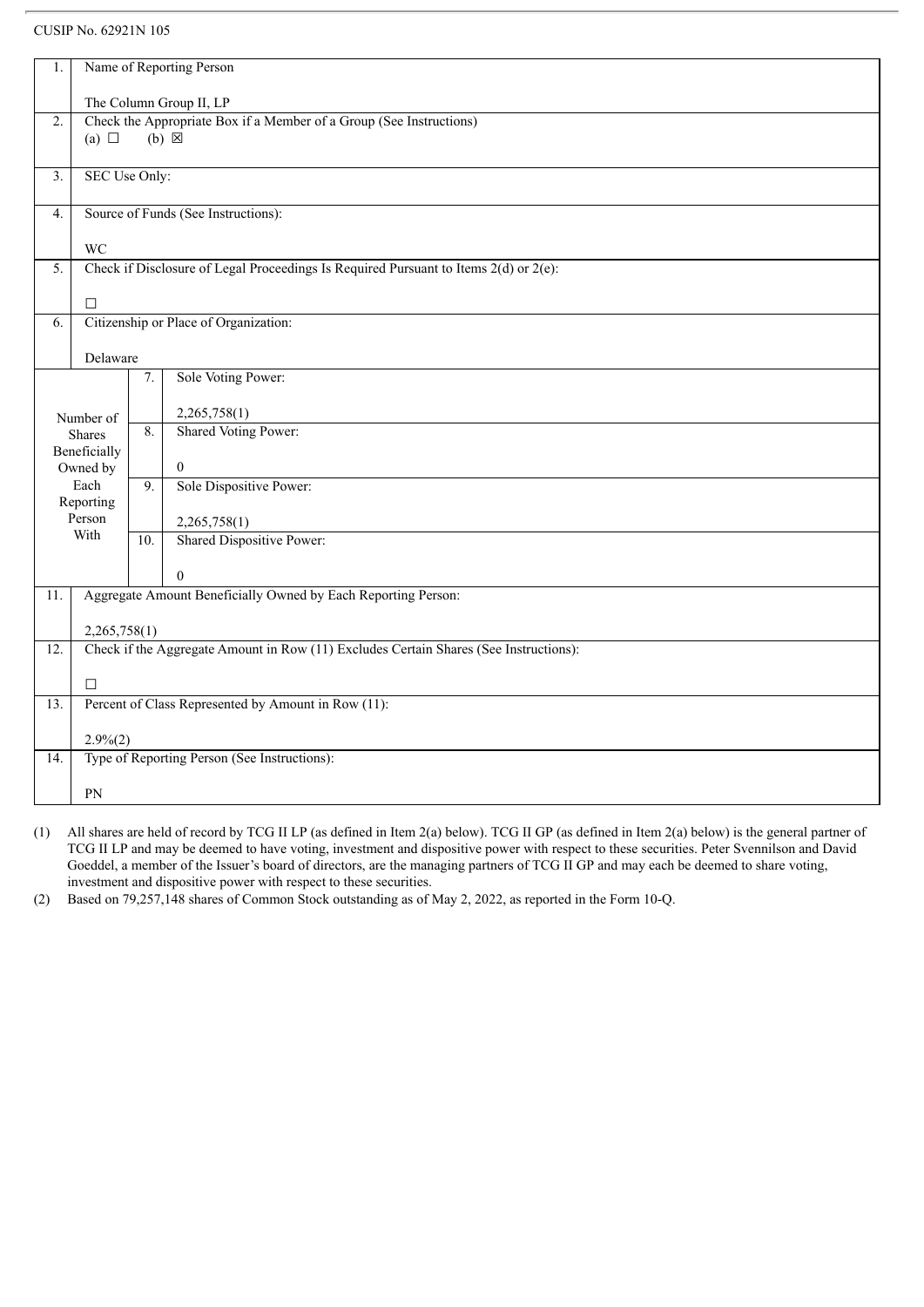| 1.               | Name of Reporting Person                            |                                                                                        |                                                                                           |  |  |  |
|------------------|-----------------------------------------------------|----------------------------------------------------------------------------------------|-------------------------------------------------------------------------------------------|--|--|--|
|                  |                                                     |                                                                                        |                                                                                           |  |  |  |
|                  | The Column Group II, LP                             |                                                                                        |                                                                                           |  |  |  |
| $\overline{2}$ . | (a) $\Box$                                          | Check the Appropriate Box if a Member of a Group (See Instructions)<br>$(b) \boxtimes$ |                                                                                           |  |  |  |
|                  |                                                     |                                                                                        |                                                                                           |  |  |  |
| 3.               | SEC Use Only:                                       |                                                                                        |                                                                                           |  |  |  |
|                  |                                                     |                                                                                        |                                                                                           |  |  |  |
| $\overline{4}$ . |                                                     |                                                                                        | Source of Funds (See Instructions):                                                       |  |  |  |
|                  | <b>WC</b>                                           |                                                                                        |                                                                                           |  |  |  |
| 5.               |                                                     |                                                                                        | Check if Disclosure of Legal Proceedings Is Required Pursuant to Items $2(d)$ or $2(e)$ : |  |  |  |
|                  |                                                     |                                                                                        |                                                                                           |  |  |  |
|                  | $\Box$                                              |                                                                                        |                                                                                           |  |  |  |
| 6.               |                                                     |                                                                                        | Citizenship or Place of Organization:                                                     |  |  |  |
|                  |                                                     |                                                                                        |                                                                                           |  |  |  |
|                  | Delaware                                            |                                                                                        |                                                                                           |  |  |  |
|                  |                                                     | 7.                                                                                     | Sole Voting Power:                                                                        |  |  |  |
|                  |                                                     |                                                                                        |                                                                                           |  |  |  |
|                  | Number of                                           | 8.                                                                                     | 2,265,758(1)                                                                              |  |  |  |
|                  | Shares                                              |                                                                                        | <b>Shared Voting Power:</b>                                                               |  |  |  |
|                  | Beneficially                                        |                                                                                        |                                                                                           |  |  |  |
|                  | Owned by<br>Each                                    | 9.                                                                                     | $\mathbf{0}$<br>Sole Dispositive Power:                                                   |  |  |  |
|                  | Reporting                                           |                                                                                        |                                                                                           |  |  |  |
|                  | Person                                              |                                                                                        | 2,265,758(1)                                                                              |  |  |  |
|                  | With                                                | 10.                                                                                    | <b>Shared Dispositive Power:</b>                                                          |  |  |  |
|                  |                                                     |                                                                                        |                                                                                           |  |  |  |
|                  |                                                     |                                                                                        | $\Omega$                                                                                  |  |  |  |
| 11.              |                                                     |                                                                                        | Aggregate Amount Beneficially Owned by Each Reporting Person:                             |  |  |  |
|                  |                                                     |                                                                                        |                                                                                           |  |  |  |
|                  | 2,265,758(1)                                        |                                                                                        |                                                                                           |  |  |  |
| 12.              |                                                     |                                                                                        | Check if the Aggregate Amount in Row (11) Excludes Certain Shares (See Instructions):     |  |  |  |
|                  |                                                     |                                                                                        |                                                                                           |  |  |  |
|                  | $\Box$                                              |                                                                                        |                                                                                           |  |  |  |
| 13.              | Percent of Class Represented by Amount in Row (11): |                                                                                        |                                                                                           |  |  |  |
|                  |                                                     |                                                                                        |                                                                                           |  |  |  |
|                  | $2.9\%(2)$                                          |                                                                                        |                                                                                           |  |  |  |
| 14.              |                                                     |                                                                                        | Type of Reporting Person (See Instructions):                                              |  |  |  |
|                  |                                                     |                                                                                        |                                                                                           |  |  |  |
|                  | PN                                                  |                                                                                        |                                                                                           |  |  |  |

(1) All shares are held of record by TCG II LP (as defined in Item 2(a) below). TCG II GP (as defined in Item 2(a) below) is the general partner of TCG II LP and may be deemed to have voting, investment and dispositive power with respect to these securities. Peter Svennilson and David Goeddel, a member of the Issuer's board of directors, are the managing partners of TCG II GP and may each be deemed to share voting, investment and dispositive power with respect to these securities.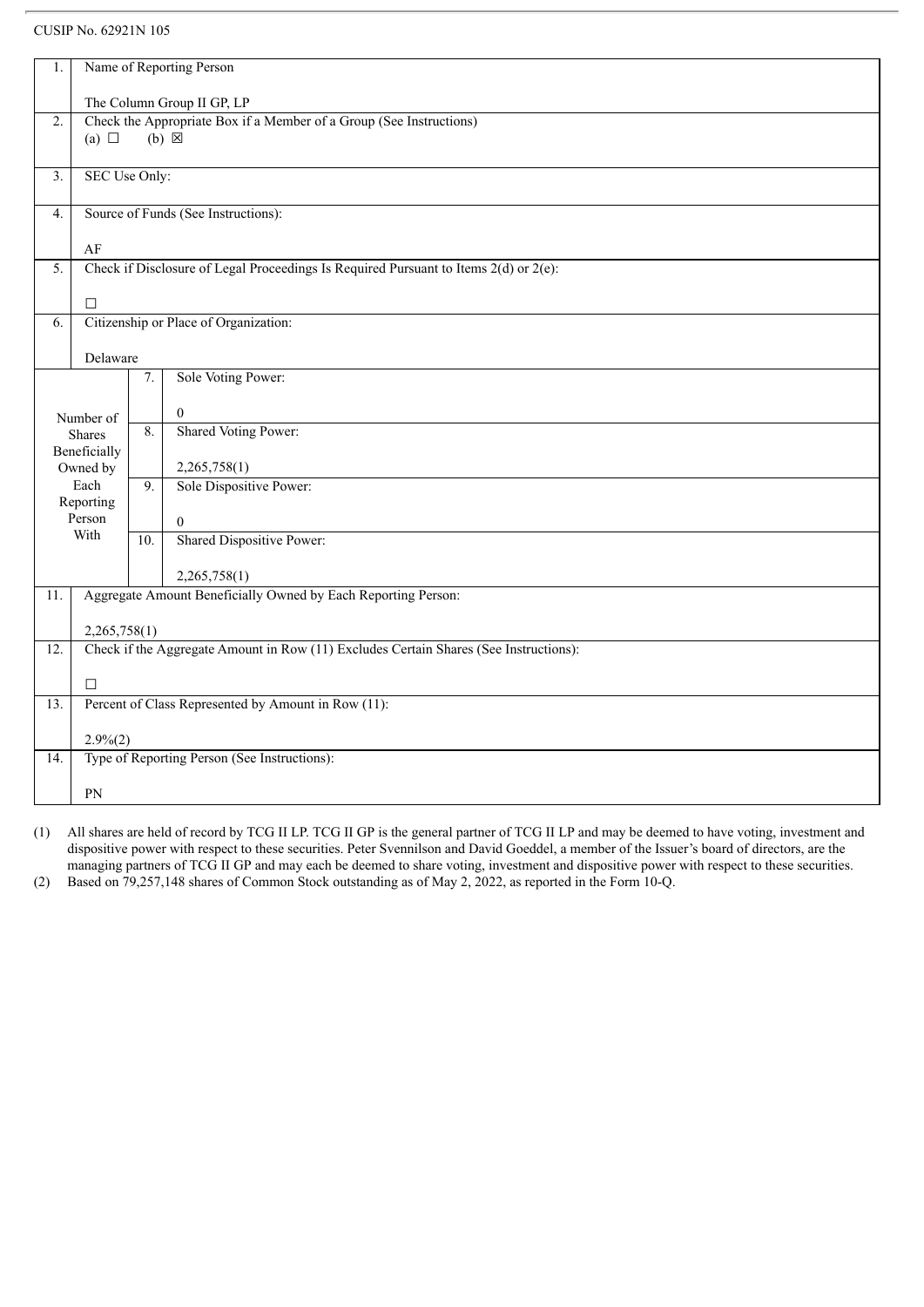| 1.                                                                                                      |                                     |                  | Name of Reporting Person                                                                  |  |  |
|---------------------------------------------------------------------------------------------------------|-------------------------------------|------------------|-------------------------------------------------------------------------------------------|--|--|
|                                                                                                         |                                     |                  |                                                                                           |  |  |
| The Column Group II GP, LP<br>Check the Appropriate Box if a Member of a Group (See Instructions)<br>2. |                                     |                  |                                                                                           |  |  |
|                                                                                                         | (a) $\Box$                          |                  | $(b) \boxtimes$                                                                           |  |  |
|                                                                                                         |                                     |                  |                                                                                           |  |  |
| $\overline{3}$ .                                                                                        | SEC Use Only:                       |                  |                                                                                           |  |  |
| $\overline{4}$ .                                                                                        | Source of Funds (See Instructions): |                  |                                                                                           |  |  |
|                                                                                                         |                                     |                  |                                                                                           |  |  |
|                                                                                                         | AF                                  |                  |                                                                                           |  |  |
| $\overline{5}$ .                                                                                        |                                     |                  | Check if Disclosure of Legal Proceedings Is Required Pursuant to Items $2(d)$ or $2(e)$ : |  |  |
|                                                                                                         | $\Box$                              |                  |                                                                                           |  |  |
| 6.                                                                                                      |                                     |                  | Citizenship or Place of Organization:                                                     |  |  |
|                                                                                                         |                                     |                  |                                                                                           |  |  |
|                                                                                                         | Delaware                            |                  |                                                                                           |  |  |
| Sole Voting Power:<br>7.                                                                                |                                     |                  |                                                                                           |  |  |
|                                                                                                         |                                     |                  | $\mathbf{0}$                                                                              |  |  |
|                                                                                                         | Number of<br><b>Shares</b>          | $\overline{8}$ . | <b>Shared Voting Power:</b>                                                               |  |  |
|                                                                                                         | Beneficially                        |                  |                                                                                           |  |  |
|                                                                                                         | Owned by                            |                  | 2,265,758(1)                                                                              |  |  |
|                                                                                                         | Each<br>Reporting                   | 9.               | Sole Dispositive Power:                                                                   |  |  |
|                                                                                                         | Person                              |                  | $\overline{0}$                                                                            |  |  |
|                                                                                                         | With                                | 10.              | <b>Shared Dispositive Power:</b>                                                          |  |  |
|                                                                                                         |                                     |                  |                                                                                           |  |  |
|                                                                                                         |                                     |                  | 2,265,758(1)                                                                              |  |  |
| 11.                                                                                                     |                                     |                  | Aggregate Amount Beneficially Owned by Each Reporting Person:                             |  |  |
|                                                                                                         | 2,265,758(1)                        |                  |                                                                                           |  |  |
| $\overline{12}$ .                                                                                       |                                     |                  | Check if the Aggregate Amount in Row (11) Excludes Certain Shares (See Instructions):     |  |  |
|                                                                                                         |                                     |                  |                                                                                           |  |  |
|                                                                                                         | $\Box$                              |                  |                                                                                           |  |  |
| 13.                                                                                                     |                                     |                  | Percent of Class Represented by Amount in Row (11):                                       |  |  |
|                                                                                                         | $2.9\%(2)$                          |                  |                                                                                           |  |  |
| 14.                                                                                                     |                                     |                  | Type of Reporting Person (See Instructions):                                              |  |  |
|                                                                                                         | PN                                  |                  |                                                                                           |  |  |
|                                                                                                         |                                     |                  |                                                                                           |  |  |

(1) All shares are held of record by TCG II LP. TCG II GP is the general partner of TCG II LP and may be deemed to have voting, investment and dispositive power with respect to these securities. Peter Svennilson and David Goeddel, a member of the Issuer's board of directors, are the managing partners of TCG II GP and may each be deemed to share voting, investment and dispositive power with respect to these securities.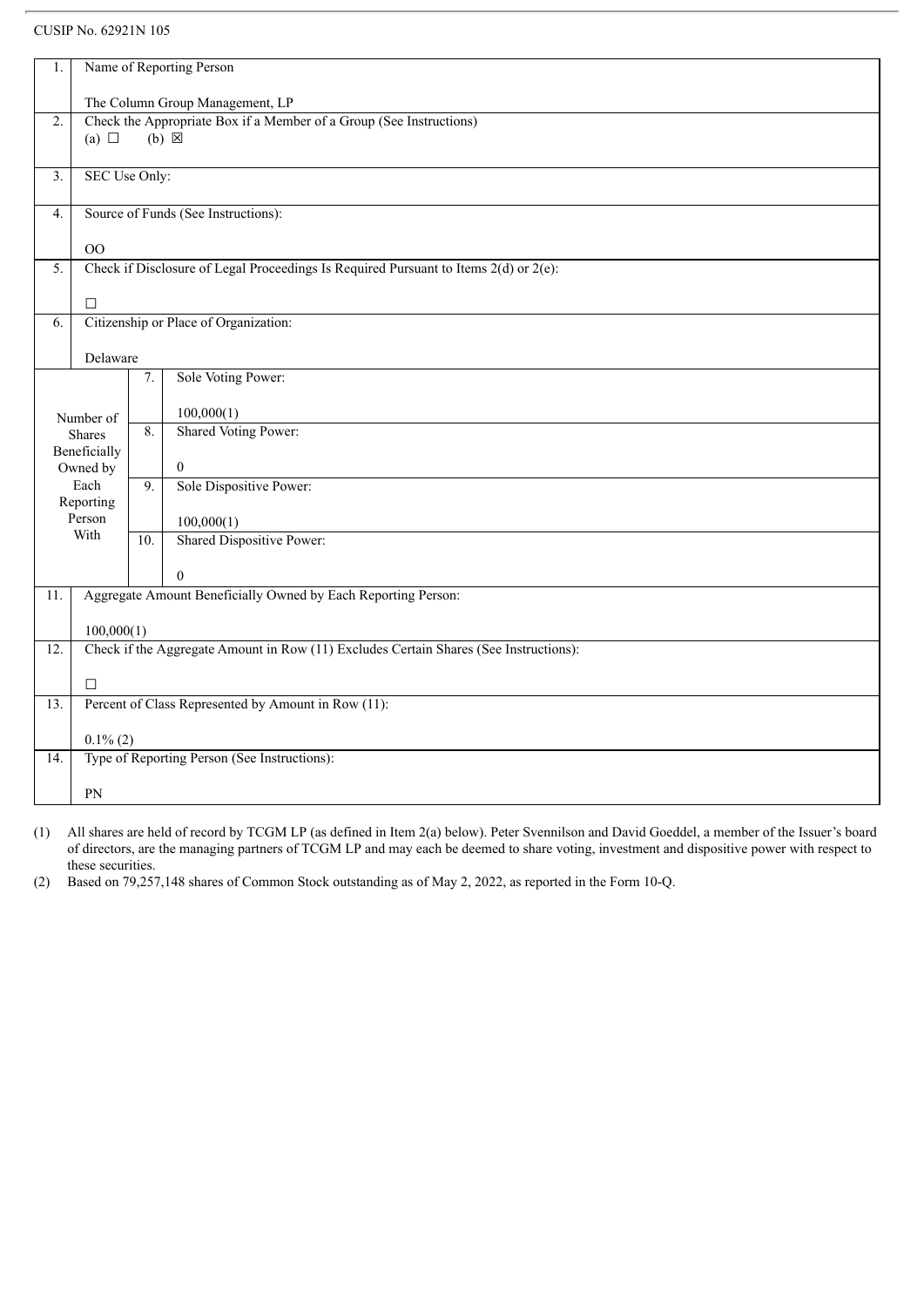| 1.                |                                 |                                     | Name of Reporting Person                                                                  |  |  |  |
|-------------------|---------------------------------|-------------------------------------|-------------------------------------------------------------------------------------------|--|--|--|
|                   | The Column Group Management, LP |                                     |                                                                                           |  |  |  |
| $\overline{2}$ .  |                                 |                                     | Check the Appropriate Box if a Member of a Group (See Instructions)                       |  |  |  |
|                   | (a) $\Box$                      |                                     | $(b)$ $\overline{\boxtimes}$                                                              |  |  |  |
|                   |                                 |                                     |                                                                                           |  |  |  |
| $\overline{3}$ .  | SEC Use Only:                   |                                     |                                                                                           |  |  |  |
| $\overline{4}$ .  |                                 | Source of Funds (See Instructions): |                                                                                           |  |  |  |
|                   | O <sub>O</sub>                  |                                     |                                                                                           |  |  |  |
| $\overline{5}$ .  |                                 |                                     | Check if Disclosure of Legal Proceedings Is Required Pursuant to Items $2(d)$ or $2(e)$ : |  |  |  |
|                   |                                 |                                     |                                                                                           |  |  |  |
|                   | $\Box$                          |                                     |                                                                                           |  |  |  |
| 6.                |                                 |                                     | Citizenship or Place of Organization:                                                     |  |  |  |
|                   |                                 |                                     |                                                                                           |  |  |  |
|                   | Delaware                        |                                     |                                                                                           |  |  |  |
|                   |                                 | 7.                                  | Sole Voting Power:                                                                        |  |  |  |
|                   |                                 |                                     | 100,000(1)                                                                                |  |  |  |
|                   | Number of<br><b>Shares</b>      | $\overline{8}$ .                    | Shared Voting Power:                                                                      |  |  |  |
|                   | Beneficially                    |                                     |                                                                                           |  |  |  |
|                   | Owned by                        |                                     | $\overline{0}$                                                                            |  |  |  |
|                   | Each                            | 9.                                  | Sole Dispositive Power:                                                                   |  |  |  |
|                   | Reporting<br>Person             |                                     |                                                                                           |  |  |  |
|                   | With                            |                                     | 100,000(1)<br>Shared Dispositive Power:                                                   |  |  |  |
|                   |                                 | 10.                                 |                                                                                           |  |  |  |
|                   |                                 |                                     | $\mathbf{0}$                                                                              |  |  |  |
| 11.               |                                 |                                     | Aggregate Amount Beneficially Owned by Each Reporting Person:                             |  |  |  |
|                   |                                 |                                     |                                                                                           |  |  |  |
|                   | 100,000(1)                      |                                     |                                                                                           |  |  |  |
| $\overline{12}$ . |                                 |                                     | Check if the Aggregate Amount in Row (11) Excludes Certain Shares (See Instructions):     |  |  |  |
|                   | $\Box$                          |                                     |                                                                                           |  |  |  |
| $\overline{13}$ . |                                 |                                     | Percent of Class Represented by Amount in Row (11):                                       |  |  |  |
|                   |                                 |                                     |                                                                                           |  |  |  |
|                   | $0.1\%$ (2)                     |                                     |                                                                                           |  |  |  |
| 14.               |                                 |                                     | Type of Reporting Person (See Instructions):                                              |  |  |  |
|                   | PN                              |                                     |                                                                                           |  |  |  |
|                   |                                 |                                     |                                                                                           |  |  |  |

(1) All shares are held of record by TCGM LP (as defined in Item 2(a) below). Peter Svennilson and David Goeddel, a member of the Issuer's board of directors, are the managing partners of TCGM LP and may each be deemed to share voting, investment and dispositive power with respect to these securities.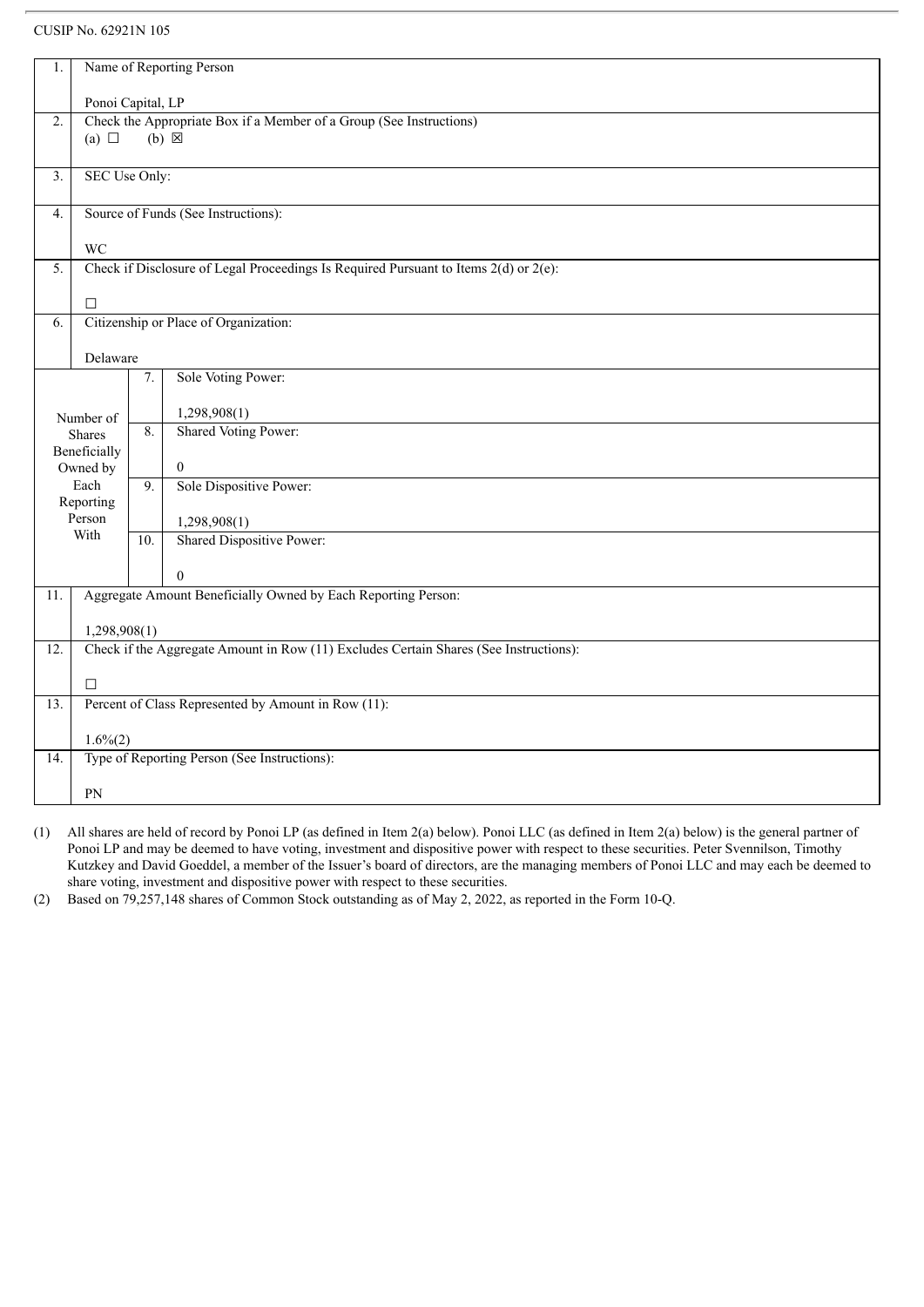| 1.                |                                     |                                                                     | Name of Reporting Person                                                                  |  |  |  |
|-------------------|-------------------------------------|---------------------------------------------------------------------|-------------------------------------------------------------------------------------------|--|--|--|
|                   | Ponoi Capital, LP                   |                                                                     |                                                                                           |  |  |  |
| $\overline{2}$ .  |                                     | Check the Appropriate Box if a Member of a Group (See Instructions) |                                                                                           |  |  |  |
|                   | (a) $\Box$                          |                                                                     | $(b) \times$                                                                              |  |  |  |
|                   |                                     |                                                                     |                                                                                           |  |  |  |
| $\overline{3}$ .  | SEC Use Only:                       |                                                                     |                                                                                           |  |  |  |
| $\overline{4}$ .  | Source of Funds (See Instructions): |                                                                     |                                                                                           |  |  |  |
|                   | <b>WC</b>                           |                                                                     |                                                                                           |  |  |  |
| 5.                |                                     |                                                                     | Check if Disclosure of Legal Proceedings Is Required Pursuant to Items $2(d)$ or $2(e)$ : |  |  |  |
|                   |                                     |                                                                     |                                                                                           |  |  |  |
|                   | $\Box$                              |                                                                     |                                                                                           |  |  |  |
| 6.                |                                     |                                                                     | Citizenship or Place of Organization:                                                     |  |  |  |
|                   |                                     |                                                                     |                                                                                           |  |  |  |
|                   | Delaware                            |                                                                     |                                                                                           |  |  |  |
|                   |                                     | 7.                                                                  | Sole Voting Power:                                                                        |  |  |  |
|                   |                                     |                                                                     | 1,298,908(1)                                                                              |  |  |  |
|                   | Number of<br><b>Shares</b>          | 8.                                                                  | <b>Shared Voting Power:</b>                                                               |  |  |  |
|                   | Beneficially                        |                                                                     |                                                                                           |  |  |  |
|                   | Owned by                            |                                                                     | $\overline{0}$                                                                            |  |  |  |
|                   | Each                                | 9.                                                                  | Sole Dispositive Power:                                                                   |  |  |  |
|                   | Reporting                           |                                                                     |                                                                                           |  |  |  |
|                   | Person                              |                                                                     | 1,298,908(1)                                                                              |  |  |  |
|                   | With                                | 10.                                                                 | Shared Dispositive Power:                                                                 |  |  |  |
|                   |                                     |                                                                     | $\theta$                                                                                  |  |  |  |
| 11.               |                                     |                                                                     | Aggregate Amount Beneficially Owned by Each Reporting Person:                             |  |  |  |
|                   |                                     |                                                                     |                                                                                           |  |  |  |
|                   | 1,298,908(1)                        |                                                                     |                                                                                           |  |  |  |
| 12.               |                                     |                                                                     | Check if the Aggregate Amount in Row (11) Excludes Certain Shares (See Instructions):     |  |  |  |
|                   | $\Box$                              |                                                                     |                                                                                           |  |  |  |
| $\overline{13}$ . |                                     |                                                                     | Percent of Class Represented by Amount in Row (11):                                       |  |  |  |
|                   |                                     |                                                                     |                                                                                           |  |  |  |
|                   | $1.6\%(2)$                          |                                                                     |                                                                                           |  |  |  |
| 14.               |                                     |                                                                     | Type of Reporting Person (See Instructions):                                              |  |  |  |
|                   | PN                                  |                                                                     |                                                                                           |  |  |  |
|                   |                                     |                                                                     |                                                                                           |  |  |  |

(1) All shares are held of record by Ponoi LP (as defined in Item 2(a) below). Ponoi LLC (as defined in Item 2(a) below) is the general partner of Ponoi LP and may be deemed to have voting, investment and dispositive power with respect to these securities. Peter Svennilson, Timothy Kutzkey and David Goeddel, a member of the Issuer's board of directors, are the managing members of Ponoi LLC and may each be deemed to share voting, investment and dispositive power with respect to these securities.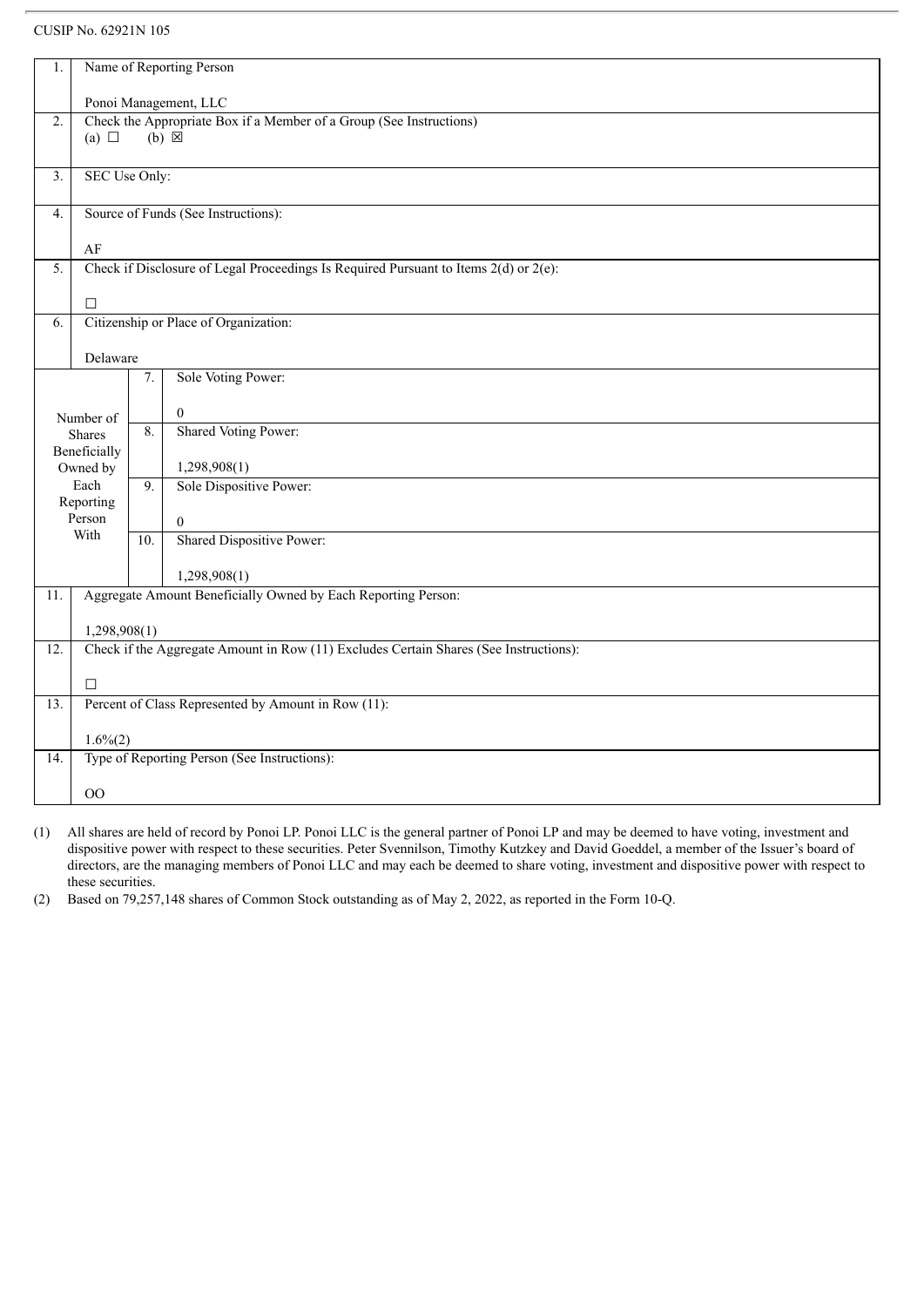| 1.                    | Name of Reporting Person            |                                                                     |                                                                                       |  |  |  |
|-----------------------|-------------------------------------|---------------------------------------------------------------------|---------------------------------------------------------------------------------------|--|--|--|
| Ponoi Management, LLC |                                     |                                                                     |                                                                                       |  |  |  |
| 2.                    |                                     | Check the Appropriate Box if a Member of a Group (See Instructions) |                                                                                       |  |  |  |
|                       | (a) $\Box$                          |                                                                     | $(b) \boxtimes$                                                                       |  |  |  |
| $\overline{3}$ .      | SEC Use Only:                       |                                                                     |                                                                                       |  |  |  |
|                       |                                     |                                                                     |                                                                                       |  |  |  |
| 4.                    | Source of Funds (See Instructions): |                                                                     |                                                                                       |  |  |  |
|                       | AF                                  |                                                                     |                                                                                       |  |  |  |
| 5.                    |                                     |                                                                     | Check if Disclosure of Legal Proceedings Is Required Pursuant to Items 2(d) or 2(e):  |  |  |  |
|                       | $\Box$                              |                                                                     |                                                                                       |  |  |  |
| 6.                    |                                     |                                                                     | Citizenship or Place of Organization:                                                 |  |  |  |
|                       |                                     |                                                                     |                                                                                       |  |  |  |
|                       | Delaware                            |                                                                     |                                                                                       |  |  |  |
|                       |                                     | 7.                                                                  | Sole Voting Power:                                                                    |  |  |  |
|                       | Number of                           |                                                                     | $\overline{0}$                                                                        |  |  |  |
|                       | <b>Shares</b>                       | $\overline{8}$ .                                                    | Shared Voting Power:                                                                  |  |  |  |
|                       | Beneficially<br>Owned by            |                                                                     | 1,298,908(1)                                                                          |  |  |  |
|                       | Each                                | 9.                                                                  | Sole Dispositive Power:                                                               |  |  |  |
|                       | Reporting                           |                                                                     |                                                                                       |  |  |  |
|                       | Person                              |                                                                     | $\boldsymbol{0}$                                                                      |  |  |  |
|                       | With                                | 10.                                                                 | Shared Dispositive Power:                                                             |  |  |  |
|                       |                                     |                                                                     | 1,298,908(1)                                                                          |  |  |  |
| 11.                   |                                     |                                                                     | Aggregate Amount Beneficially Owned by Each Reporting Person:                         |  |  |  |
|                       | 1,298,908(1)                        |                                                                     |                                                                                       |  |  |  |
| $\overline{12}$ .     |                                     |                                                                     | Check if the Aggregate Amount in Row (11) Excludes Certain Shares (See Instructions): |  |  |  |
|                       |                                     |                                                                     |                                                                                       |  |  |  |
|                       | $\Box$                              |                                                                     |                                                                                       |  |  |  |
| 13.                   |                                     |                                                                     | Percent of Class Represented by Amount in Row (11):                                   |  |  |  |
|                       | $1.6\%(2)$                          |                                                                     |                                                                                       |  |  |  |
| 14.                   |                                     |                                                                     | Type of Reporting Person (See Instructions):                                          |  |  |  |
|                       | O <sub>O</sub>                      |                                                                     |                                                                                       |  |  |  |
|                       |                                     |                                                                     |                                                                                       |  |  |  |

(1) All shares are held of record by Ponoi LP. Ponoi LLC is the general partner of Ponoi LP and may be deemed to have voting, investment and dispositive power with respect to these securities. Peter Svennilson, Timothy Kutzkey and David Goeddel, a member of the Issuer's board of directors, are the managing members of Ponoi LLC and may each be deemed to share voting, investment and dispositive power with respect to these securities.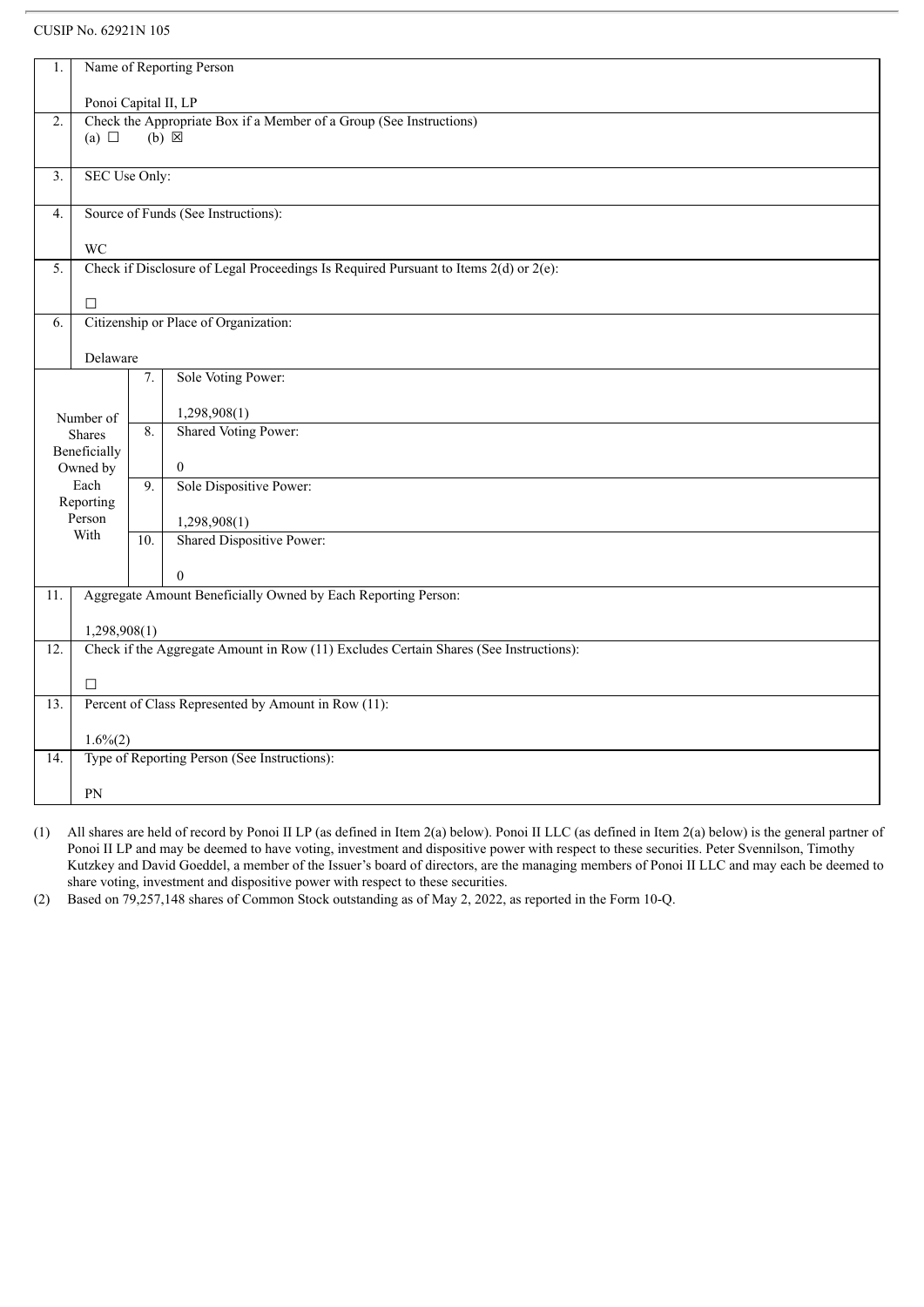| 1.                | Name of Reporting Person                                                                    |     |                                                                                           |  |  |  |
|-------------------|---------------------------------------------------------------------------------------------|-----|-------------------------------------------------------------------------------------------|--|--|--|
|                   |                                                                                             |     |                                                                                           |  |  |  |
| $\overline{2}$ .  | Ponoi Capital II, LP<br>Check the Appropriate Box if a Member of a Group (See Instructions) |     |                                                                                           |  |  |  |
|                   | (a) $\Box$                                                                                  |     | $(b) \times$                                                                              |  |  |  |
|                   |                                                                                             |     |                                                                                           |  |  |  |
| $\overline{3}$ .  | SEC Use Only:                                                                               |     |                                                                                           |  |  |  |
|                   |                                                                                             |     |                                                                                           |  |  |  |
| $\overline{4}$ .  | Source of Funds (See Instructions):                                                         |     |                                                                                           |  |  |  |
|                   |                                                                                             |     |                                                                                           |  |  |  |
|                   | <b>WC</b>                                                                                   |     |                                                                                           |  |  |  |
| 5.                |                                                                                             |     | Check if Disclosure of Legal Proceedings Is Required Pursuant to Items $2(d)$ or $2(e)$ : |  |  |  |
|                   | $\Box$                                                                                      |     |                                                                                           |  |  |  |
| 6.                |                                                                                             |     | Citizenship or Place of Organization:                                                     |  |  |  |
|                   |                                                                                             |     |                                                                                           |  |  |  |
|                   | Delaware                                                                                    |     |                                                                                           |  |  |  |
|                   |                                                                                             | 7.  | Sole Voting Power:                                                                        |  |  |  |
|                   |                                                                                             |     |                                                                                           |  |  |  |
|                   | Number of                                                                                   | 8.  | 1,298,908(1)                                                                              |  |  |  |
|                   | <b>Shares</b>                                                                               |     | Shared Voting Power:                                                                      |  |  |  |
|                   | Beneficially                                                                                |     |                                                                                           |  |  |  |
|                   | Owned by                                                                                    |     | $\overline{0}$                                                                            |  |  |  |
|                   | Each<br>Reporting                                                                           | 9.  | Sole Dispositive Power:                                                                   |  |  |  |
|                   | Person                                                                                      |     | 1,298,908(1)                                                                              |  |  |  |
|                   | With                                                                                        | 10. | Shared Dispositive Power:                                                                 |  |  |  |
|                   |                                                                                             |     |                                                                                           |  |  |  |
|                   |                                                                                             |     | $\theta$                                                                                  |  |  |  |
| 11.               |                                                                                             |     | Aggregate Amount Beneficially Owned by Each Reporting Person:                             |  |  |  |
|                   |                                                                                             |     |                                                                                           |  |  |  |
|                   | 1,298,908(1)                                                                                |     |                                                                                           |  |  |  |
| 12.               |                                                                                             |     | Check if the Aggregate Amount in Row (11) Excludes Certain Shares (See Instructions):     |  |  |  |
|                   |                                                                                             |     |                                                                                           |  |  |  |
|                   | $\Box$                                                                                      |     |                                                                                           |  |  |  |
| $\overline{13}$ . |                                                                                             |     | Percent of Class Represented by Amount in Row (11):                                       |  |  |  |
|                   | $1.6\%(2)$                                                                                  |     |                                                                                           |  |  |  |
| 14.               |                                                                                             |     | Type of Reporting Person (See Instructions):                                              |  |  |  |
|                   |                                                                                             |     |                                                                                           |  |  |  |
|                   | PN                                                                                          |     |                                                                                           |  |  |  |

(1) All shares are held of record by Ponoi II LP (as defined in Item 2(a) below). Ponoi II LLC (as defined in Item 2(a) below) is the general partner of Ponoi II LP and may be deemed to have voting, investment and dispositive power with respect to these securities. Peter Svennilson, Timothy Kutzkey and David Goeddel, a member of the Issuer's board of directors, are the managing members of Ponoi II LLC and may each be deemed to share voting, investment and dispositive power with respect to these securities.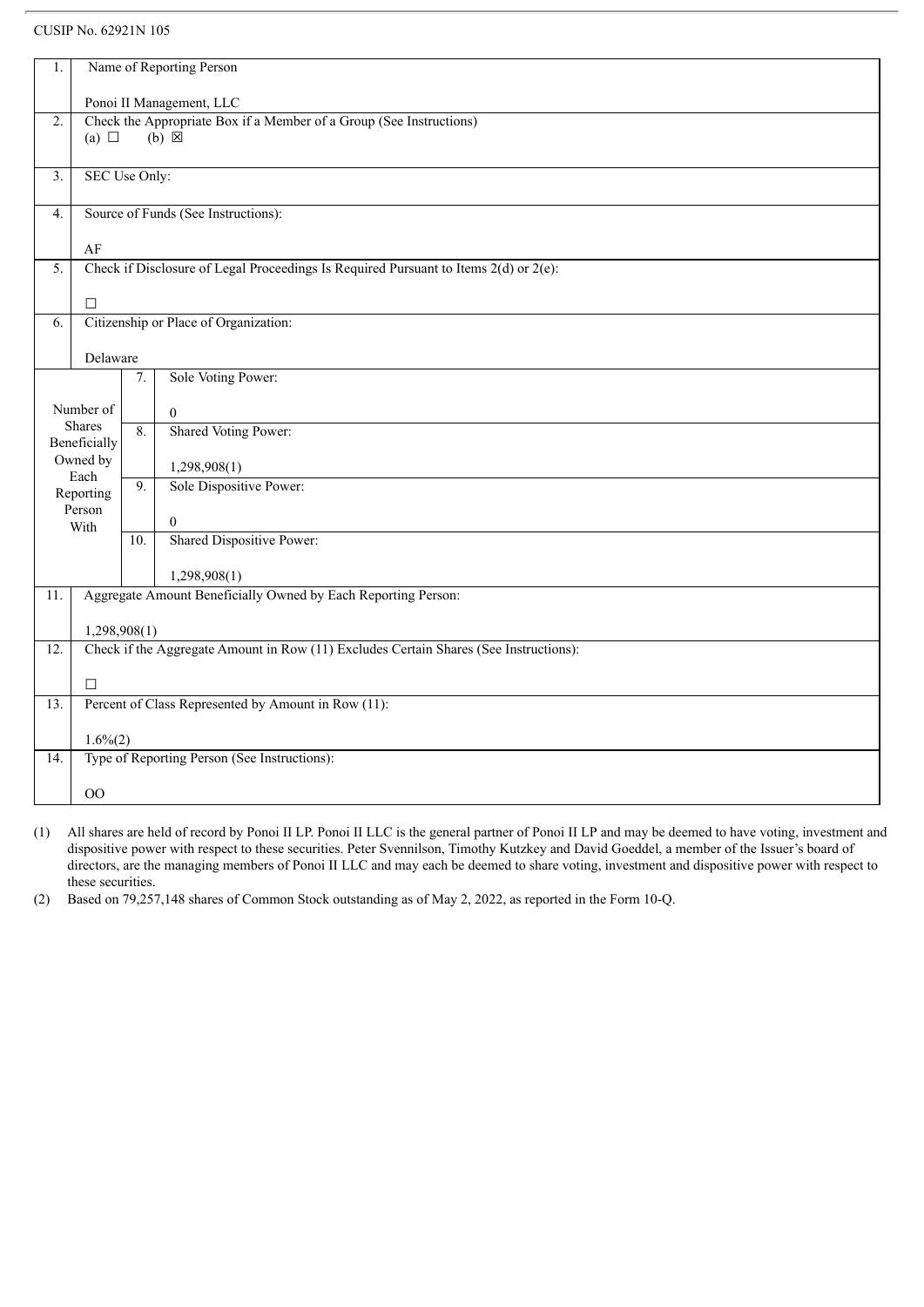| 1.  | Name of Reporting Person      |                                     |                                                                                           |  |  |  |
|-----|-------------------------------|-------------------------------------|-------------------------------------------------------------------------------------------|--|--|--|
|     | Ponoi II Management, LLC      |                                     |                                                                                           |  |  |  |
| 2.  |                               |                                     | Check the Appropriate Box if a Member of a Group (See Instructions)                       |  |  |  |
|     | $(b) \boxtimes$<br>(a) $\Box$ |                                     |                                                                                           |  |  |  |
| 3.  | SEC Use Only:                 |                                     |                                                                                           |  |  |  |
| 4.  |                               | Source of Funds (See Instructions): |                                                                                           |  |  |  |
|     | AF                            |                                     |                                                                                           |  |  |  |
| 5.  |                               |                                     | Check if Disclosure of Legal Proceedings Is Required Pursuant to Items $2(d)$ or $2(e)$ : |  |  |  |
|     |                               |                                     |                                                                                           |  |  |  |
|     | $\Box$                        |                                     |                                                                                           |  |  |  |
| 6.  |                               |                                     | Citizenship or Place of Organization:                                                     |  |  |  |
|     | Delaware                      |                                     |                                                                                           |  |  |  |
|     |                               | 7.                                  | Sole Voting Power:                                                                        |  |  |  |
|     | Number of                     |                                     | $\mathbf{0}$                                                                              |  |  |  |
|     | <b>Shares</b><br>Beneficially | 8.                                  | <b>Shared Voting Power:</b>                                                               |  |  |  |
|     | Owned by                      |                                     | 1,298,908(1)                                                                              |  |  |  |
|     | Each<br>Reporting             | 9.                                  | Sole Dispositive Power:                                                                   |  |  |  |
|     | Person                        |                                     | $\boldsymbol{0}$                                                                          |  |  |  |
|     | With                          | 10.                                 | Shared Dispositive Power:                                                                 |  |  |  |
|     |                               |                                     | 1,298,908(1)                                                                              |  |  |  |
| 11. |                               |                                     | Aggregate Amount Beneficially Owned by Each Reporting Person:                             |  |  |  |
|     |                               |                                     |                                                                                           |  |  |  |
|     | 1,298,908(1)                  |                                     |                                                                                           |  |  |  |
| 12. |                               |                                     | Check if the Aggregate Amount in Row (11) Excludes Certain Shares (See Instructions):     |  |  |  |
|     | $\Box$                        |                                     |                                                                                           |  |  |  |
| 13. |                               |                                     | Percent of Class Represented by Amount in Row (11):                                       |  |  |  |
|     | $1.6\%(2)$                    |                                     |                                                                                           |  |  |  |
| 14. |                               |                                     | Type of Reporting Person (See Instructions):                                              |  |  |  |
|     | O <sub>O</sub>                |                                     |                                                                                           |  |  |  |
|     |                               |                                     |                                                                                           |  |  |  |

(1) All shares are held of record by Ponoi II LP. Ponoi II LLC is the general partner of Ponoi II LP and may be deemed to have voting, investment and dispositive power with respect to these securities. Peter Svennilson, Timothy Kutzkey and David Goeddel, a member of the Issuer's board of directors, are the managing members of Ponoi II LLC and may each be deemed to share voting, investment and dispositive power with respect to these securities.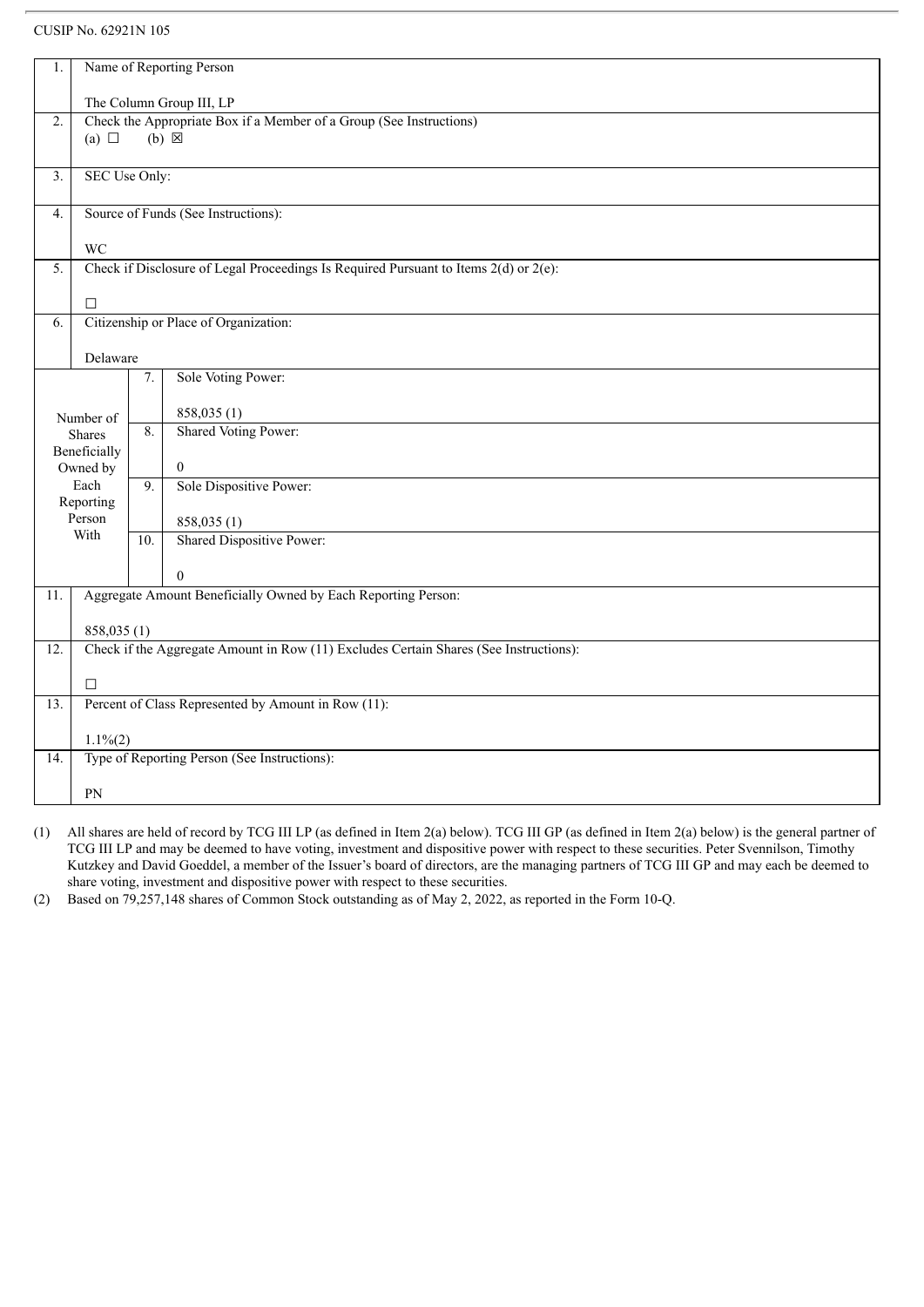| 1.                |                            |                                                                     | Name of Reporting Person                                                                  |  |  |  |  |
|-------------------|----------------------------|---------------------------------------------------------------------|-------------------------------------------------------------------------------------------|--|--|--|--|
|                   |                            | The Column Group III, LP                                            |                                                                                           |  |  |  |  |
| $\overline{2}$ .  |                            | Check the Appropriate Box if a Member of a Group (See Instructions) |                                                                                           |  |  |  |  |
|                   | (a) $\Box$                 |                                                                     | $(b) \boxtimes$                                                                           |  |  |  |  |
|                   |                            |                                                                     |                                                                                           |  |  |  |  |
| $\overline{3}$ .  | SEC Use Only:              |                                                                     |                                                                                           |  |  |  |  |
| $\overline{4}$ .  |                            |                                                                     | Source of Funds (See Instructions):                                                       |  |  |  |  |
|                   | <b>WC</b>                  |                                                                     |                                                                                           |  |  |  |  |
| 5.                |                            |                                                                     | Check if Disclosure of Legal Proceedings Is Required Pursuant to Items $2(d)$ or $2(e)$ : |  |  |  |  |
|                   |                            |                                                                     |                                                                                           |  |  |  |  |
|                   | $\Box$                     |                                                                     |                                                                                           |  |  |  |  |
| 6.                |                            |                                                                     | Citizenship or Place of Organization:                                                     |  |  |  |  |
|                   |                            |                                                                     |                                                                                           |  |  |  |  |
|                   | Delaware                   |                                                                     |                                                                                           |  |  |  |  |
|                   |                            | 7.                                                                  | Sole Voting Power:                                                                        |  |  |  |  |
|                   |                            |                                                                     | 858,035 (1)                                                                               |  |  |  |  |
|                   | Number of<br><b>Shares</b> | 8.                                                                  | Shared Voting Power:                                                                      |  |  |  |  |
|                   | Beneficially               |                                                                     |                                                                                           |  |  |  |  |
|                   | Owned by                   |                                                                     | $\overline{0}$                                                                            |  |  |  |  |
|                   | Each                       | 9.                                                                  | Sole Dispositive Power:                                                                   |  |  |  |  |
|                   | Reporting                  |                                                                     |                                                                                           |  |  |  |  |
|                   | Person<br>With             |                                                                     | 858,035 (1)                                                                               |  |  |  |  |
|                   |                            | 10.                                                                 | Shared Dispositive Power:                                                                 |  |  |  |  |
|                   |                            |                                                                     | $\theta$                                                                                  |  |  |  |  |
| 11.               |                            |                                                                     | Aggregate Amount Beneficially Owned by Each Reporting Person:                             |  |  |  |  |
|                   |                            |                                                                     |                                                                                           |  |  |  |  |
|                   | 858,035 (1)                |                                                                     |                                                                                           |  |  |  |  |
| $\overline{12}$ . |                            |                                                                     | Check if the Aggregate Amount in Row (11) Excludes Certain Shares (See Instructions):     |  |  |  |  |
|                   | $\Box$                     |                                                                     |                                                                                           |  |  |  |  |
| 13.               |                            |                                                                     | Percent of Class Represented by Amount in Row (11):                                       |  |  |  |  |
|                   |                            |                                                                     |                                                                                           |  |  |  |  |
|                   | $1.1\%(2)$                 |                                                                     |                                                                                           |  |  |  |  |
| 14.               |                            |                                                                     | Type of Reporting Person (See Instructions):                                              |  |  |  |  |
|                   | PN                         |                                                                     |                                                                                           |  |  |  |  |
|                   |                            |                                                                     |                                                                                           |  |  |  |  |

(1) All shares are held of record by TCG III LP (as defined in Item 2(a) below). TCG III GP (as defined in Item 2(a) below) is the general partner of TCG III LP and may be deemed to have voting, investment and dispositive power with respect to these securities. Peter Svennilson, Timothy Kutzkey and David Goeddel, a member of the Issuer's board of directors, are the managing partners of TCG III GP and may each be deemed to share voting, investment and dispositive power with respect to these securities.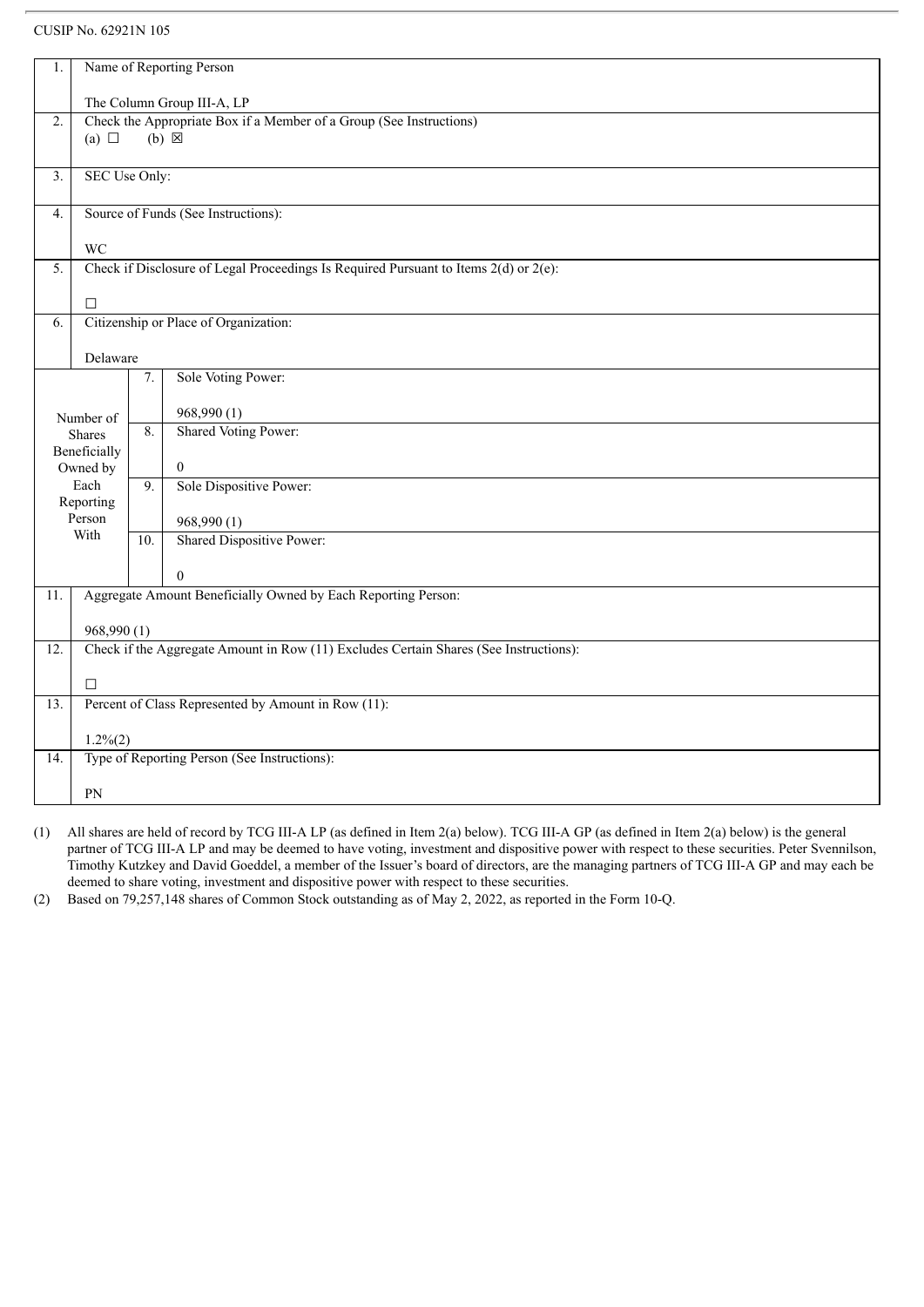| 1.                |                            |                                                                     | Name of Reporting Person                                                                  |  |  |  |
|-------------------|----------------------------|---------------------------------------------------------------------|-------------------------------------------------------------------------------------------|--|--|--|
|                   | The Column Group III-A, LP |                                                                     |                                                                                           |  |  |  |
| $\overline{2}$ .  |                            | Check the Appropriate Box if a Member of a Group (See Instructions) |                                                                                           |  |  |  |
|                   | (a) $\Box$                 |                                                                     | $(b) \boxtimes$                                                                           |  |  |  |
|                   |                            |                                                                     |                                                                                           |  |  |  |
| $\overline{3}$ .  | SEC Use Only:              |                                                                     |                                                                                           |  |  |  |
| 4.                |                            |                                                                     | Source of Funds (See Instructions):                                                       |  |  |  |
|                   | <b>WC</b>                  |                                                                     |                                                                                           |  |  |  |
| 5.                |                            |                                                                     | Check if Disclosure of Legal Proceedings Is Required Pursuant to Items $2(d)$ or $2(e)$ : |  |  |  |
|                   | $\Box$                     |                                                                     |                                                                                           |  |  |  |
| 6.                |                            |                                                                     | Citizenship or Place of Organization:                                                     |  |  |  |
|                   |                            |                                                                     |                                                                                           |  |  |  |
|                   | Delaware                   |                                                                     |                                                                                           |  |  |  |
|                   |                            | 7.                                                                  | Sole Voting Power:                                                                        |  |  |  |
|                   | Number of                  |                                                                     | 968,990 (1)                                                                               |  |  |  |
|                   | <b>Shares</b>              | 8.                                                                  | Shared Voting Power:                                                                      |  |  |  |
|                   | Beneficially<br>Owned by   |                                                                     | $\overline{0}$                                                                            |  |  |  |
|                   | Each                       | 9.                                                                  | Sole Dispositive Power:                                                                   |  |  |  |
|                   | Reporting                  |                                                                     |                                                                                           |  |  |  |
|                   | Person                     |                                                                     | 968,990 (1)                                                                               |  |  |  |
|                   | With                       | 10.                                                                 | <b>Shared Dispositive Power:</b>                                                          |  |  |  |
|                   |                            |                                                                     | $\theta$                                                                                  |  |  |  |
| 11.               |                            |                                                                     | Aggregate Amount Beneficially Owned by Each Reporting Person:                             |  |  |  |
|                   |                            |                                                                     |                                                                                           |  |  |  |
| $\overline{12}$ . | 968,990(1)                 |                                                                     | Check if the Aggregate Amount in Row (11) Excludes Certain Shares (See Instructions):     |  |  |  |
|                   |                            |                                                                     |                                                                                           |  |  |  |
|                   | $\Box$                     |                                                                     |                                                                                           |  |  |  |
| 13.               |                            |                                                                     | Percent of Class Represented by Amount in Row (11):                                       |  |  |  |
|                   | $1.2\%(2)$                 |                                                                     |                                                                                           |  |  |  |
| 14.               |                            |                                                                     | Type of Reporting Person (See Instructions):                                              |  |  |  |
|                   | PN                         |                                                                     |                                                                                           |  |  |  |
|                   |                            |                                                                     |                                                                                           |  |  |  |

(1) All shares are held of record by TCG III-A LP (as defined in Item 2(a) below). TCG III-A GP (as defined in Item 2(a) below) is the general partner of TCG III-A LP and may be deemed to have voting, investment and dispositive power with respect to these securities. Peter Svennilson, Timothy Kutzkey and David Goeddel, a member of the Issuer's board of directors, are the managing partners of TCG III-A GP and may each be deemed to share voting, investment and dispositive power with respect to these securities.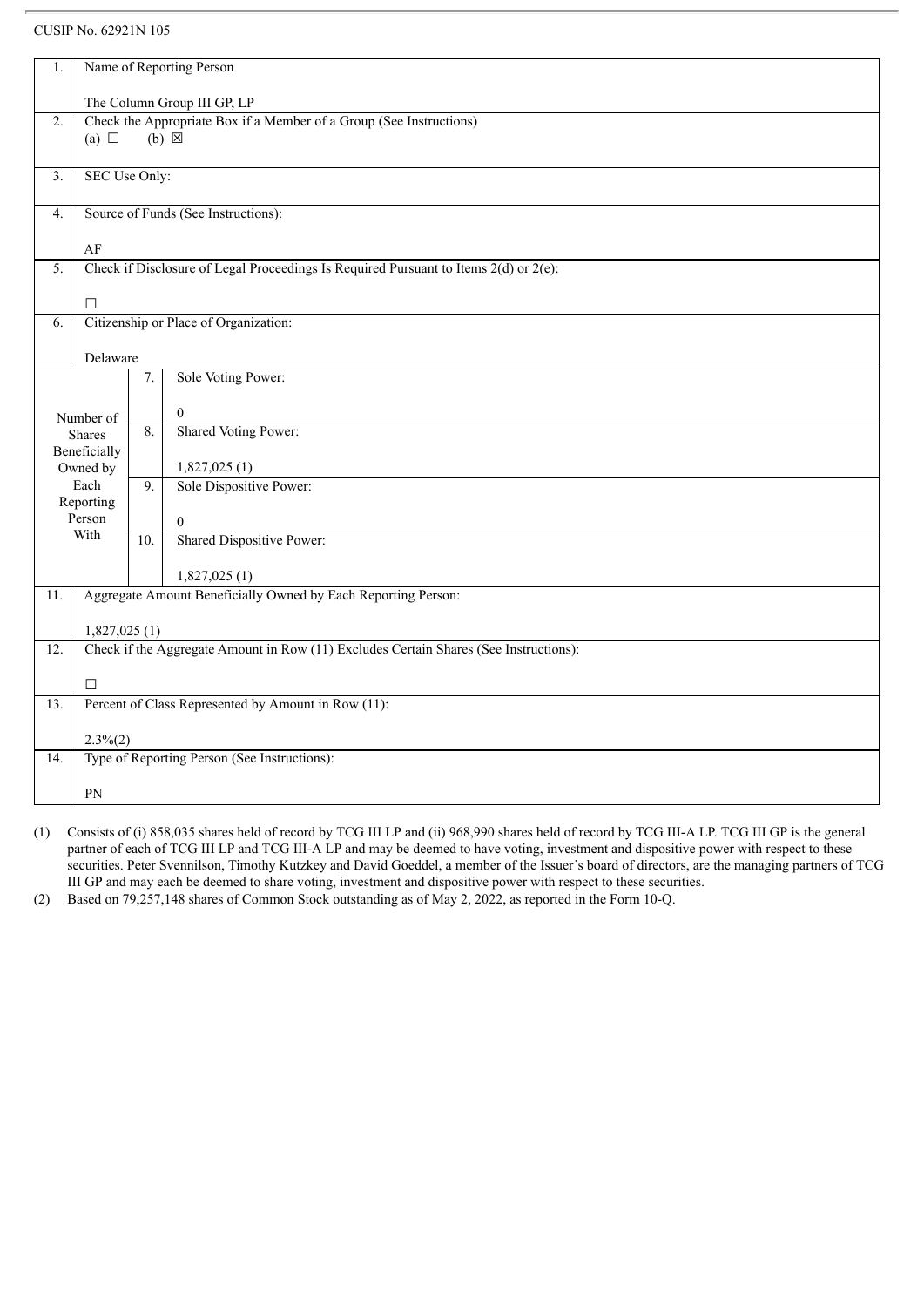| 1.               | Name of Reporting Person            |     |                                                                                           |  |  |  |
|------------------|-------------------------------------|-----|-------------------------------------------------------------------------------------------|--|--|--|
|                  |                                     |     |                                                                                           |  |  |  |
|                  | The Column Group III GP, LP         |     |                                                                                           |  |  |  |
| 2.               |                                     |     | Check the Appropriate Box if a Member of a Group (See Instructions)<br>$(b) \boxtimes$    |  |  |  |
|                  | (a) $\Box$                          |     |                                                                                           |  |  |  |
|                  |                                     |     |                                                                                           |  |  |  |
| $\overline{3}$ . | SEC Use Only:                       |     |                                                                                           |  |  |  |
| 4.               | Source of Funds (See Instructions): |     |                                                                                           |  |  |  |
|                  |                                     |     |                                                                                           |  |  |  |
|                  | AF                                  |     |                                                                                           |  |  |  |
| 5.               |                                     |     | Check if Disclosure of Legal Proceedings Is Required Pursuant to Items $2(d)$ or $2(e)$ : |  |  |  |
|                  |                                     |     |                                                                                           |  |  |  |
|                  | $\Box$                              |     |                                                                                           |  |  |  |
| 6.               |                                     |     | Citizenship or Place of Organization:                                                     |  |  |  |
|                  |                                     |     |                                                                                           |  |  |  |
|                  | Delaware                            |     |                                                                                           |  |  |  |
|                  |                                     | 7.  | Sole Voting Power:                                                                        |  |  |  |
|                  |                                     |     | $\overline{0}$                                                                            |  |  |  |
|                  | Number of                           | 8.  | Shared Voting Power:                                                                      |  |  |  |
|                  | <b>Shares</b><br>Beneficially       |     |                                                                                           |  |  |  |
|                  | Owned by                            |     | 1,827,025(1)                                                                              |  |  |  |
|                  | Each                                | 9.  | Sole Dispositive Power:                                                                   |  |  |  |
|                  | Reporting                           |     |                                                                                           |  |  |  |
|                  | Person                              |     | $\mathbf{0}$                                                                              |  |  |  |
|                  | With                                | 10. | Shared Dispositive Power:                                                                 |  |  |  |
|                  |                                     |     |                                                                                           |  |  |  |
|                  |                                     |     | 1,827,025(1)                                                                              |  |  |  |
| 11.              |                                     |     | Aggregate Amount Beneficially Owned by Each Reporting Person:                             |  |  |  |
|                  |                                     |     |                                                                                           |  |  |  |
|                  | 1,827,025(1)                        |     |                                                                                           |  |  |  |
| 12.              |                                     |     | Check if the Aggregate Amount in Row (11) Excludes Certain Shares (See Instructions):     |  |  |  |
|                  |                                     |     |                                                                                           |  |  |  |
|                  | $\Box$                              |     |                                                                                           |  |  |  |
| 13.              |                                     |     | Percent of Class Represented by Amount in Row (11):                                       |  |  |  |
|                  | $2.3\%(2)$                          |     |                                                                                           |  |  |  |
| 14.              |                                     |     | Type of Reporting Person (See Instructions):                                              |  |  |  |
|                  |                                     |     |                                                                                           |  |  |  |
|                  | PN                                  |     |                                                                                           |  |  |  |

(1) Consists of (i) 858,035 shares held of record by TCG III LP and (ii) 968,990 shares held of record by TCG III-A LP. TCG III GP is the general partner of each of TCG III LP and TCG III-A LP and may be deemed to have voting, investment and dispositive power with respect to these securities. Peter Svennilson, Timothy Kutzkey and David Goeddel, a member of the Issuer's board of directors, are the managing partners of TCG III GP and may each be deemed to share voting, investment and dispositive power with respect to these securities.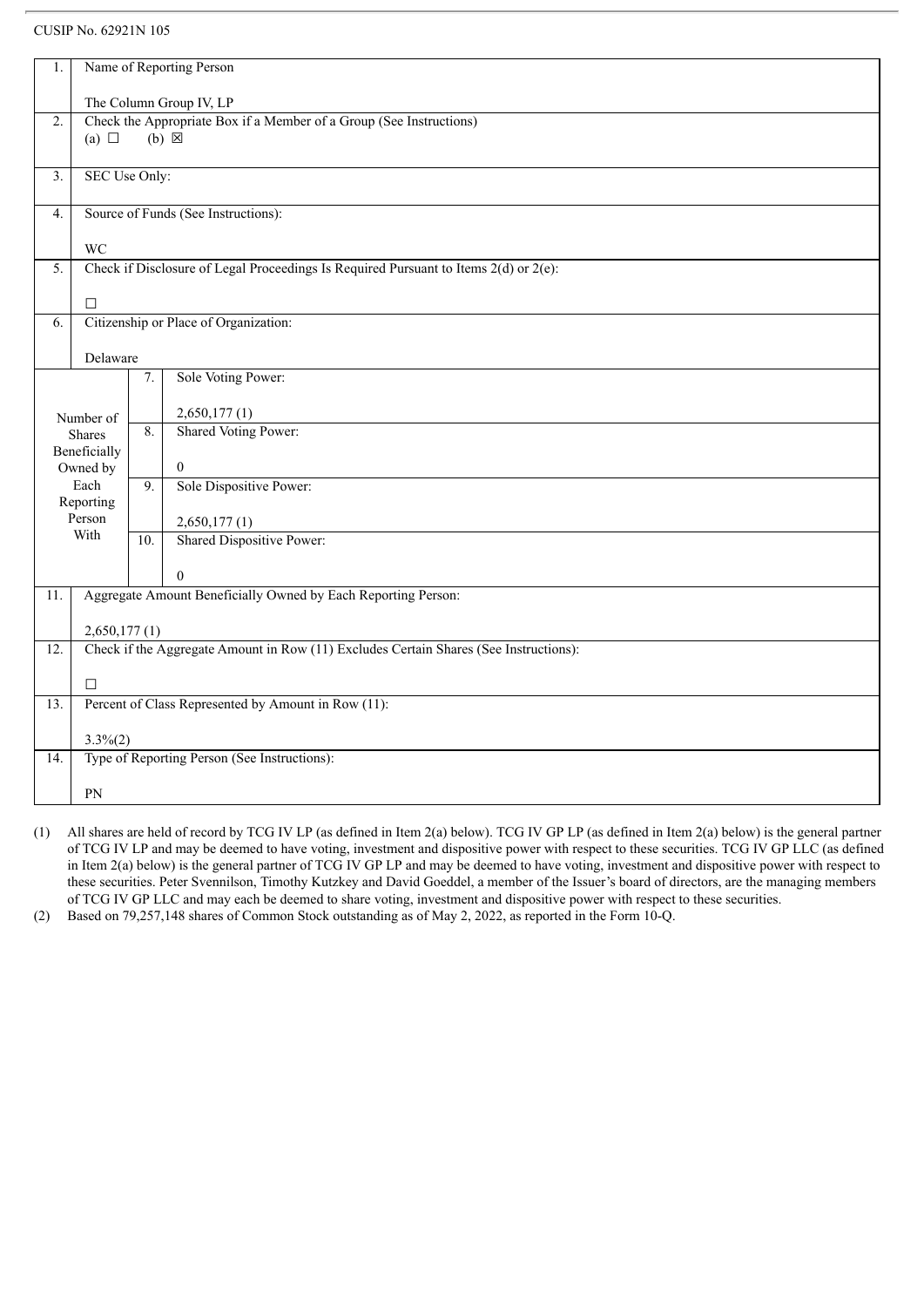| 1.               | Name of Reporting Person                                                                                                 |     |                                                                                           |  |
|------------------|--------------------------------------------------------------------------------------------------------------------------|-----|-------------------------------------------------------------------------------------------|--|
|                  |                                                                                                                          |     |                                                                                           |  |
|                  | The Column Group IV, LP                                                                                                  |     |                                                                                           |  |
|                  | Check the Appropriate Box if a Member of a Group (See Instructions)<br>$\overline{2}$ .<br>$(b) \boxtimes$<br>(a) $\Box$ |     |                                                                                           |  |
|                  |                                                                                                                          |     |                                                                                           |  |
| 3.               | SEC Use Only:                                                                                                            |     |                                                                                           |  |
|                  |                                                                                                                          |     |                                                                                           |  |
| $\overline{4}$ . | Source of Funds (See Instructions):                                                                                      |     |                                                                                           |  |
|                  | <b>WC</b>                                                                                                                |     |                                                                                           |  |
| 5.               |                                                                                                                          |     | Check if Disclosure of Legal Proceedings Is Required Pursuant to Items $2(d)$ or $2(e)$ : |  |
|                  |                                                                                                                          |     |                                                                                           |  |
|                  | $\Box$                                                                                                                   |     |                                                                                           |  |
| 6.               |                                                                                                                          |     | Citizenship or Place of Organization:                                                     |  |
|                  |                                                                                                                          |     |                                                                                           |  |
|                  | Delaware                                                                                                                 |     |                                                                                           |  |
|                  |                                                                                                                          | 7.  | Sole Voting Power:                                                                        |  |
|                  |                                                                                                                          |     |                                                                                           |  |
|                  | Number of                                                                                                                | 8.  | 2,650,177(1)                                                                              |  |
|                  | Shares                                                                                                                   |     | Shared Voting Power:                                                                      |  |
|                  | Beneficially                                                                                                             |     |                                                                                           |  |
|                  | Owned by<br>Each                                                                                                         | 9.  | $\mathbf{0}$<br>Sole Dispositive Power:                                                   |  |
|                  | Reporting                                                                                                                |     |                                                                                           |  |
|                  | Person                                                                                                                   |     | 2,650,177(1)                                                                              |  |
|                  | With                                                                                                                     | 10. | Shared Dispositive Power:                                                                 |  |
|                  |                                                                                                                          |     |                                                                                           |  |
|                  |                                                                                                                          |     | $\Omega$                                                                                  |  |
| 11.              |                                                                                                                          |     | Aggregate Amount Beneficially Owned by Each Reporting Person:                             |  |
|                  |                                                                                                                          |     |                                                                                           |  |
|                  | 2,650,177(1)                                                                                                             |     |                                                                                           |  |
| 12.              |                                                                                                                          |     | Check if the Aggregate Amount in Row (11) Excludes Certain Shares (See Instructions):     |  |
|                  |                                                                                                                          |     |                                                                                           |  |
|                  | $\Box$                                                                                                                   |     |                                                                                           |  |
| 13.              |                                                                                                                          |     | Percent of Class Represented by Amount in Row (11):                                       |  |
|                  |                                                                                                                          |     |                                                                                           |  |
|                  | $3.3\%(2)$                                                                                                               |     |                                                                                           |  |
| 14.              |                                                                                                                          |     | Type of Reporting Person (See Instructions):                                              |  |
|                  |                                                                                                                          |     |                                                                                           |  |
|                  | PN                                                                                                                       |     |                                                                                           |  |

(1) All shares are held of record by TCG IV LP (as defined in Item 2(a) below). TCG IV GP LP (as defined in Item 2(a) below) is the general partner of TCG IV LP and may be deemed to have voting, investment and dispositive power with respect to these securities. TCG IV GP LLC (as defined in Item 2(a) below) is the general partner of TCG IV GP LP and may be deemed to have voting, investment and dispositive power with respect to these securities. Peter Svennilson, Timothy Kutzkey and David Goeddel, a member of the Issuer's board of directors, are the managing members of TCG IV GP LLC and may each be deemed to share voting, investment and dispositive power with respect to these securities.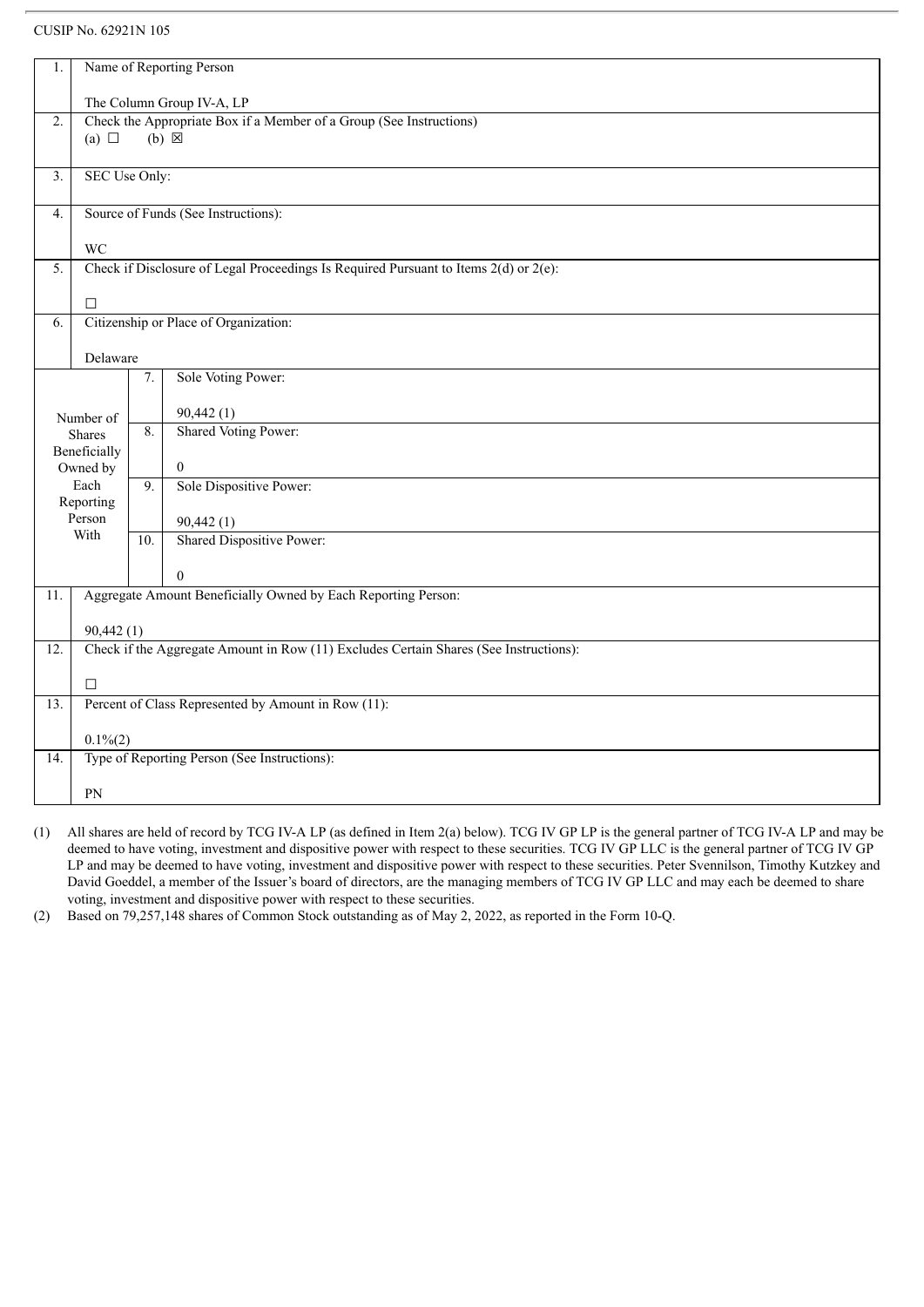| 1.                                                                                                         | Name of Reporting Person                                                              |     |                                                                                           |  |
|------------------------------------------------------------------------------------------------------------|---------------------------------------------------------------------------------------|-----|-------------------------------------------------------------------------------------------|--|
|                                                                                                            |                                                                                       |     |                                                                                           |  |
| The Column Group IV-A, LP                                                                                  |                                                                                       |     |                                                                                           |  |
| Check the Appropriate Box if a Member of a Group (See Instructions)<br>2.<br>$(b) \boxtimes$<br>(a) $\Box$ |                                                                                       |     |                                                                                           |  |
|                                                                                                            |                                                                                       |     |                                                                                           |  |
| $\overline{3}$ .                                                                                           | SEC Use Only:                                                                         |     |                                                                                           |  |
|                                                                                                            |                                                                                       |     |                                                                                           |  |
| Source of Funds (See Instructions):<br>$\overline{4}$ .                                                    |                                                                                       |     |                                                                                           |  |
| <b>WC</b>                                                                                                  |                                                                                       |     |                                                                                           |  |
| 5.                                                                                                         |                                                                                       |     | Check if Disclosure of Legal Proceedings Is Required Pursuant to Items $2(d)$ or $2(e)$ : |  |
|                                                                                                            |                                                                                       |     |                                                                                           |  |
|                                                                                                            | $\Box$                                                                                |     |                                                                                           |  |
| 6.                                                                                                         |                                                                                       |     | Citizenship or Place of Organization:                                                     |  |
|                                                                                                            |                                                                                       |     |                                                                                           |  |
|                                                                                                            | Delaware                                                                              | 7.  | Sole Voting Power:                                                                        |  |
|                                                                                                            |                                                                                       |     |                                                                                           |  |
|                                                                                                            | Number of                                                                             |     | 90,442(1)                                                                                 |  |
|                                                                                                            | <b>Shares</b>                                                                         | 8.  | Shared Voting Power:                                                                      |  |
|                                                                                                            | Beneficially                                                                          |     |                                                                                           |  |
|                                                                                                            | Owned by                                                                              |     | $\overline{0}$                                                                            |  |
|                                                                                                            | Each                                                                                  | 9.  | Sole Dispositive Power:                                                                   |  |
|                                                                                                            | Reporting<br>Person                                                                   |     |                                                                                           |  |
|                                                                                                            | With                                                                                  |     | 90,442(1)                                                                                 |  |
|                                                                                                            |                                                                                       | 10. | Shared Dispositive Power:                                                                 |  |
|                                                                                                            |                                                                                       |     | $\theta$                                                                                  |  |
| 11.                                                                                                        | Aggregate Amount Beneficially Owned by Each Reporting Person:                         |     |                                                                                           |  |
|                                                                                                            |                                                                                       |     |                                                                                           |  |
|                                                                                                            | 90,442(1)                                                                             |     |                                                                                           |  |
| 12.                                                                                                        | Check if the Aggregate Amount in Row (11) Excludes Certain Shares (See Instructions): |     |                                                                                           |  |
|                                                                                                            | $\Box$                                                                                |     |                                                                                           |  |
| $\overline{13}$ .                                                                                          | Percent of Class Represented by Amount in Row (11):                                   |     |                                                                                           |  |
|                                                                                                            |                                                                                       |     |                                                                                           |  |
|                                                                                                            | $0.1\%(2)$                                                                            |     |                                                                                           |  |
| 14.                                                                                                        |                                                                                       |     | Type of Reporting Person (See Instructions):                                              |  |
|                                                                                                            | PN                                                                                    |     |                                                                                           |  |
|                                                                                                            |                                                                                       |     |                                                                                           |  |

(1) All shares are held of record by TCG IV-A LP (as defined in Item 2(a) below). TCG IV GP LP is the general partner of TCG IV-A LP and may be deemed to have voting, investment and dispositive power with respect to these securities. TCG IV GP LLC is the general partner of TCG IV GP LP and may be deemed to have voting, investment and dispositive power with respect to these securities. Peter Svennilson, Timothy Kutzkey and David Goeddel, a member of the Issuer's board of directors, are the managing members of TCG IV GP LLC and may each be deemed to share voting, investment and dispositive power with respect to these securities.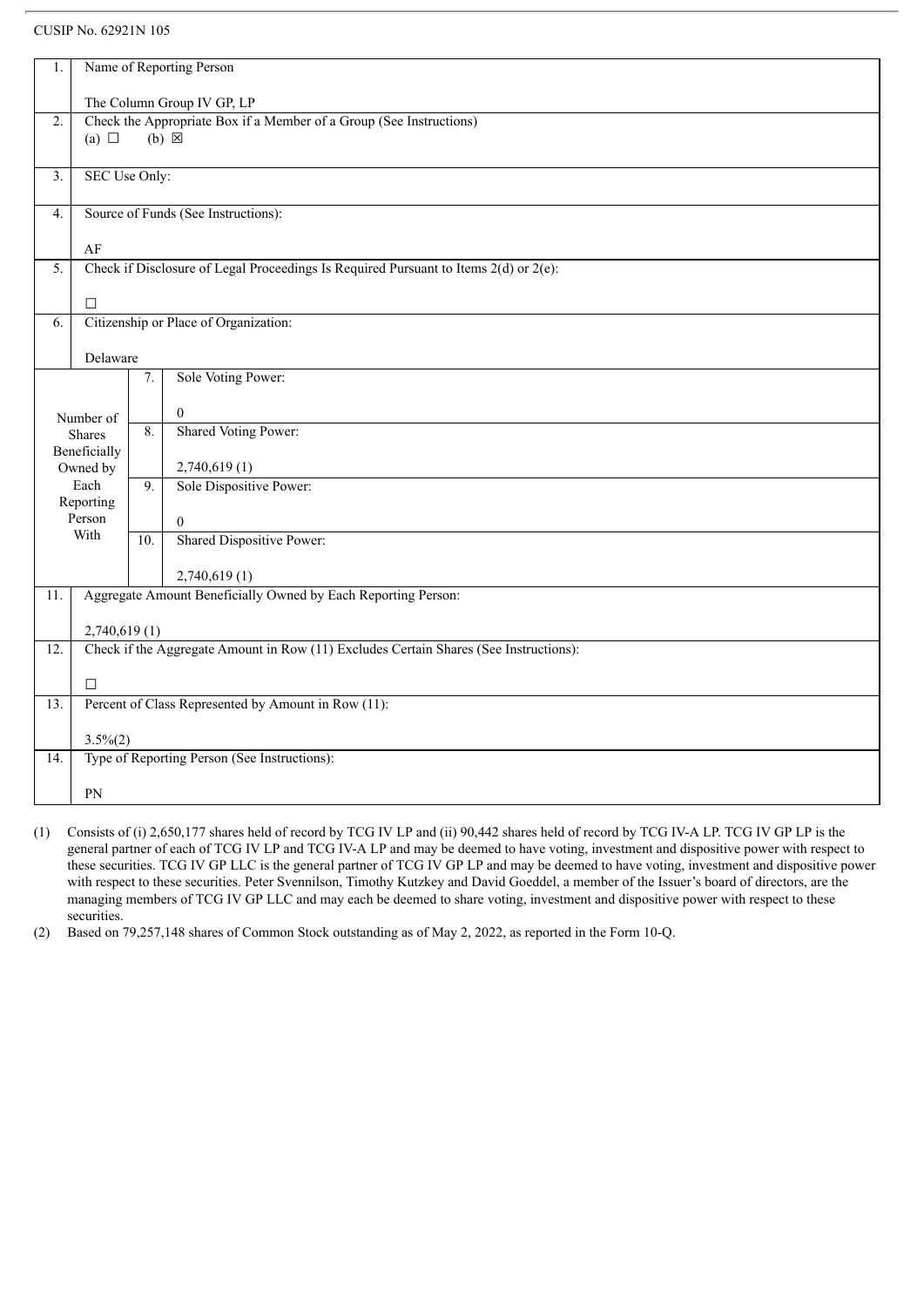| 1.                                        | Name of Reporting Person                                            |     |                                                                                           |  |
|-------------------------------------------|---------------------------------------------------------------------|-----|-------------------------------------------------------------------------------------------|--|
|                                           | The Column Group IV GP, LP                                          |     |                                                                                           |  |
| 2.                                        | Check the Appropriate Box if a Member of a Group (See Instructions) |     |                                                                                           |  |
|                                           | (a) $\Box$                                                          |     | $(b) \boxtimes$                                                                           |  |
|                                           |                                                                     |     |                                                                                           |  |
| $\overline{3}$ .                          | SEC Use Only:                                                       |     |                                                                                           |  |
| Source of Funds (See Instructions):<br>4. |                                                                     |     |                                                                                           |  |
|                                           |                                                                     |     |                                                                                           |  |
| AF                                        |                                                                     |     |                                                                                           |  |
| 5.                                        |                                                                     |     | Check if Disclosure of Legal Proceedings Is Required Pursuant to Items $2(d)$ or $2(e)$ : |  |
|                                           | $\Box$                                                              |     |                                                                                           |  |
| 6.                                        |                                                                     |     | Citizenship or Place of Organization:                                                     |  |
|                                           |                                                                     |     |                                                                                           |  |
|                                           | Delaware                                                            |     |                                                                                           |  |
|                                           |                                                                     | 7.  | Sole Voting Power:                                                                        |  |
|                                           |                                                                     |     |                                                                                           |  |
|                                           | Number of                                                           |     | $\overline{0}$                                                                            |  |
|                                           | <b>Shares</b>                                                       | 8.  | <b>Shared Voting Power:</b>                                                               |  |
|                                           | Beneficially                                                        |     |                                                                                           |  |
|                                           | Owned by                                                            |     | 2,740,619(1)                                                                              |  |
|                                           | Each                                                                | 9.  | Sole Dispositive Power:                                                                   |  |
|                                           | Reporting                                                           |     |                                                                                           |  |
|                                           | Person<br>With                                                      |     | $\mathbf{0}$                                                                              |  |
|                                           |                                                                     | 10. | Shared Dispositive Power:                                                                 |  |
|                                           |                                                                     |     | 2,740,619(1)                                                                              |  |
| 11.                                       |                                                                     |     | Aggregate Amount Beneficially Owned by Each Reporting Person:                             |  |
|                                           |                                                                     |     |                                                                                           |  |
|                                           | 2,740,619(1)                                                        |     |                                                                                           |  |
| 12.                                       |                                                                     |     | Check if the Aggregate Amount in Row (11) Excludes Certain Shares (See Instructions):     |  |
|                                           |                                                                     |     |                                                                                           |  |
|                                           | $\Box$                                                              |     |                                                                                           |  |
| 13.                                       |                                                                     |     | Percent of Class Represented by Amount in Row (11):                                       |  |
|                                           |                                                                     |     |                                                                                           |  |
|                                           | $3.5\%(2)$                                                          |     |                                                                                           |  |
| 14.                                       |                                                                     |     | Type of Reporting Person (See Instructions):                                              |  |
|                                           | PN                                                                  |     |                                                                                           |  |
|                                           |                                                                     |     |                                                                                           |  |

(1) Consists of (i) 2,650,177 shares held of record by TCG IV LP and (ii) 90,442 shares held of record by TCG IV-A LP. TCG IV GP LP is the general partner of each of TCG IV LP and TCG IV-A LP and may be deemed to have voting, investment and dispositive power with respect to these securities. TCG IV GP LLC is the general partner of TCG IV GP LP and may be deemed to have voting, investment and dispositive power with respect to these securities. Peter Svennilson, Timothy Kutzkey and David Goeddel, a member of the Issuer's board of directors, are the managing members of TCG IV GP LLC and may each be deemed to share voting, investment and dispositive power with respect to these securities.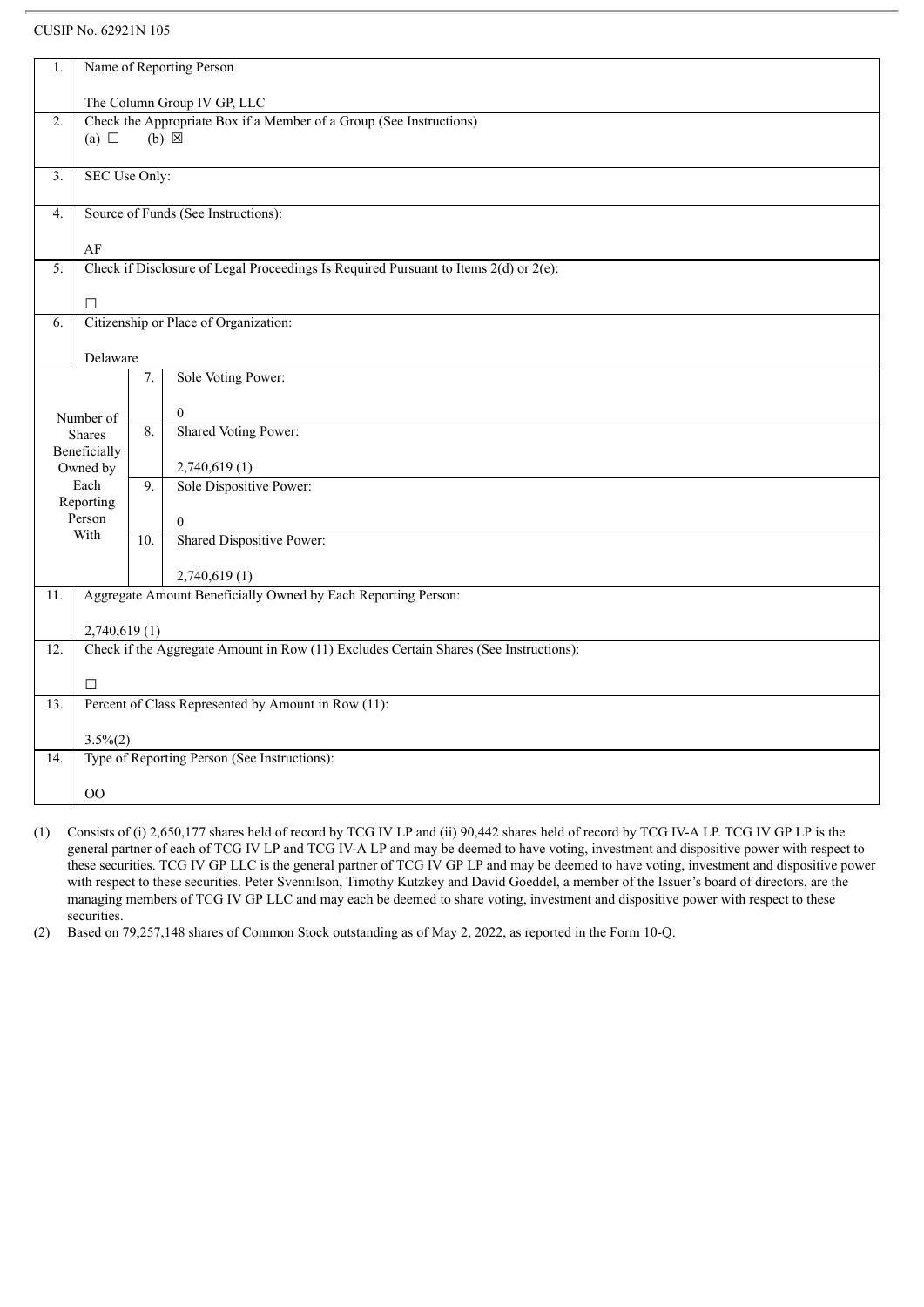| 1.                                                      | Name of Reporting Person                                                                  |                  |                                                                                       |  |
|---------------------------------------------------------|-------------------------------------------------------------------------------------------|------------------|---------------------------------------------------------------------------------------|--|
|                                                         | The Column Group IV GP, LLC                                                               |                  |                                                                                       |  |
| $\overline{2}$ .                                        | Check the Appropriate Box if a Member of a Group (See Instructions)                       |                  |                                                                                       |  |
|                                                         | (a) $\Box$                                                                                |                  | $(b)$ $\overline{\boxtimes}$                                                          |  |
|                                                         |                                                                                           |                  |                                                                                       |  |
| $\overline{3}$ .                                        | SEC Use Only:                                                                             |                  |                                                                                       |  |
| Source of Funds (See Instructions):<br>$\overline{4}$ . |                                                                                           |                  |                                                                                       |  |
|                                                         | AF                                                                                        |                  |                                                                                       |  |
| $\overline{5}$ .                                        | Check if Disclosure of Legal Proceedings Is Required Pursuant to Items $2(d)$ or $2(e)$ : |                  |                                                                                       |  |
|                                                         |                                                                                           |                  |                                                                                       |  |
|                                                         | $\Box$                                                                                    |                  |                                                                                       |  |
| 6.                                                      |                                                                                           |                  | Citizenship or Place of Organization:                                                 |  |
|                                                         |                                                                                           |                  |                                                                                       |  |
|                                                         | Delaware                                                                                  |                  |                                                                                       |  |
|                                                         |                                                                                           | 7.               | Sole Voting Power:                                                                    |  |
|                                                         |                                                                                           |                  |                                                                                       |  |
|                                                         | Number of                                                                                 | 8.               | $\theta$                                                                              |  |
|                                                         | <b>Shares</b>                                                                             |                  | Shared Voting Power:                                                                  |  |
|                                                         | Beneficially                                                                              |                  |                                                                                       |  |
|                                                         | Owned by                                                                                  |                  | 2,740,619(1)                                                                          |  |
|                                                         | Each                                                                                      | $\overline{9}$ . | Sole Dispositive Power:                                                               |  |
|                                                         | Reporting<br>Person                                                                       |                  |                                                                                       |  |
|                                                         | With                                                                                      |                  | $\overline{0}$                                                                        |  |
|                                                         |                                                                                           | 10.              | Shared Dispositive Power:                                                             |  |
|                                                         |                                                                                           |                  | 2,740,619(1)                                                                          |  |
| 11.                                                     |                                                                                           |                  | Aggregate Amount Beneficially Owned by Each Reporting Person:                         |  |
|                                                         |                                                                                           |                  |                                                                                       |  |
|                                                         | 2,740,619(1)                                                                              |                  |                                                                                       |  |
| $\overline{12}$ .                                       |                                                                                           |                  | Check if the Aggregate Amount in Row (11) Excludes Certain Shares (See Instructions): |  |
|                                                         |                                                                                           |                  |                                                                                       |  |
|                                                         | $\Box$                                                                                    |                  |                                                                                       |  |
| 13.                                                     |                                                                                           |                  | Percent of Class Represented by Amount in Row (11):                                   |  |
|                                                         | $3.5\%(2)$                                                                                |                  |                                                                                       |  |
| 14.                                                     |                                                                                           |                  | Type of Reporting Person (See Instructions):                                          |  |
|                                                         |                                                                                           |                  |                                                                                       |  |
|                                                         | OO                                                                                        |                  |                                                                                       |  |

(1) Consists of (i) 2,650,177 shares held of record by TCG IV LP and (ii) 90,442 shares held of record by TCG IV-A LP. TCG IV GP LP is the general partner of each of TCG IV LP and TCG IV-A LP and may be deemed to have voting, investment and dispositive power with respect to these securities. TCG IV GP LLC is the general partner of TCG IV GP LP and may be deemed to have voting, investment and dispositive power with respect to these securities. Peter Svennilson, Timothy Kutzkey and David Goeddel, a member of the Issuer's board of directors, are the managing members of TCG IV GP LLC and may each be deemed to share voting, investment and dispositive power with respect to these securities.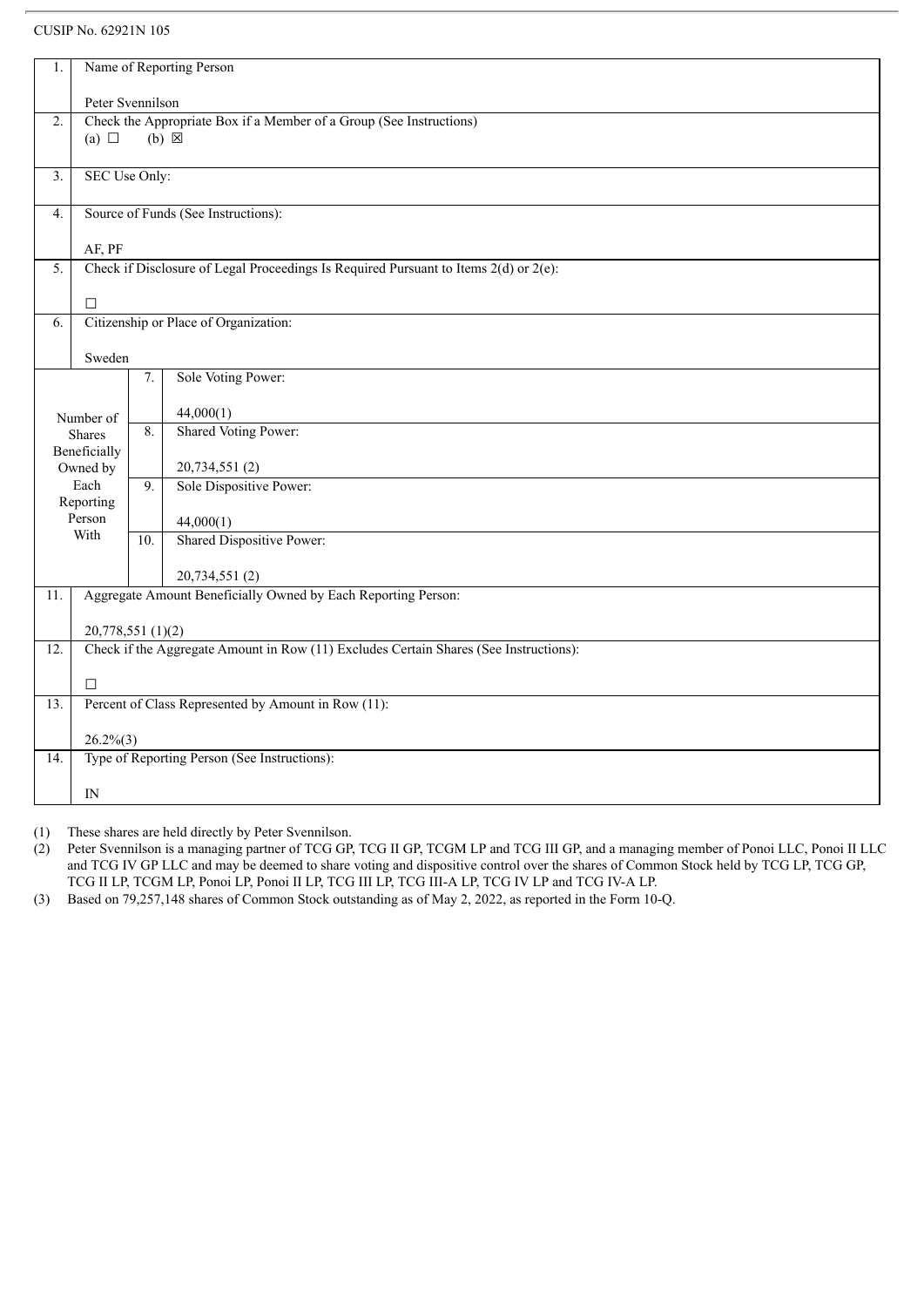| 1.               | Name of Reporting Person                                                                            |     |                                                                                       |  |  |
|------------------|-----------------------------------------------------------------------------------------------------|-----|---------------------------------------------------------------------------------------|--|--|
|                  | Peter Svennilson                                                                                    |     |                                                                                       |  |  |
| 2.               | Check the Appropriate Box if a Member of a Group (See Instructions)                                 |     |                                                                                       |  |  |
|                  | $(b) \boxtimes$<br>(a) $\Box$                                                                       |     |                                                                                       |  |  |
|                  |                                                                                                     |     |                                                                                       |  |  |
| $\overline{3}$ . | SEC Use Only:                                                                                       |     |                                                                                       |  |  |
|                  |                                                                                                     |     |                                                                                       |  |  |
|                  | Source of Funds (See Instructions):<br>$\overline{4}$ .                                             |     |                                                                                       |  |  |
|                  |                                                                                                     |     |                                                                                       |  |  |
| $\overline{5}$ . | AF, PF<br>Check if Disclosure of Legal Proceedings Is Required Pursuant to Items $2(d)$ or $2(e)$ : |     |                                                                                       |  |  |
|                  |                                                                                                     |     |                                                                                       |  |  |
|                  | $\Box$                                                                                              |     |                                                                                       |  |  |
| 6.               |                                                                                                     |     | Citizenship or Place of Organization:                                                 |  |  |
|                  |                                                                                                     |     |                                                                                       |  |  |
|                  | Sweden                                                                                              |     |                                                                                       |  |  |
|                  |                                                                                                     | 7.  | Sole Voting Power:                                                                    |  |  |
|                  |                                                                                                     |     | 44,000(1)                                                                             |  |  |
|                  | Number of                                                                                           | 8.  | Shared Voting Power:                                                                  |  |  |
|                  | Shares<br>Beneficially                                                                              |     |                                                                                       |  |  |
|                  | Owned by                                                                                            |     | 20,734,551(2)                                                                         |  |  |
|                  | Each                                                                                                | 9.  | Sole Dispositive Power:                                                               |  |  |
|                  | Reporting                                                                                           |     |                                                                                       |  |  |
|                  | Person<br>With                                                                                      |     | 44,000(1)                                                                             |  |  |
|                  |                                                                                                     | 10. | <b>Shared Dispositive Power:</b>                                                      |  |  |
|                  |                                                                                                     |     | 20,734,551 (2)                                                                        |  |  |
| 11.              |                                                                                                     |     | Aggregate Amount Beneficially Owned by Each Reporting Person:                         |  |  |
|                  |                                                                                                     |     |                                                                                       |  |  |
|                  | 20,778,551(1)(2)                                                                                    |     |                                                                                       |  |  |
| 12.              |                                                                                                     |     | Check if the Aggregate Amount in Row (11) Excludes Certain Shares (See Instructions): |  |  |
|                  |                                                                                                     |     |                                                                                       |  |  |
|                  | $\Box$                                                                                              |     |                                                                                       |  |  |
| 13.              |                                                                                                     |     | Percent of Class Represented by Amount in Row (11):                                   |  |  |
|                  | $26.2\%(3)$                                                                                         |     |                                                                                       |  |  |
|                  |                                                                                                     |     |                                                                                       |  |  |
|                  |                                                                                                     |     |                                                                                       |  |  |
|                  | IN                                                                                                  |     |                                                                                       |  |  |
| 14.              | Type of Reporting Person (See Instructions):                                                        |     |                                                                                       |  |  |
|                  |                                                                                                     |     |                                                                                       |  |  |

(1) These shares are held directly by Peter Svennilson.

(2) Peter Svennilson is a managing partner of TCG GP, TCG II GP, TCGM LP and TCG III GP, and a managing member of Ponoi LLC, Ponoi II LLC and TCG IV GP LLC and may be deemed to share voting and dispositive control over the shares of Common Stock held by TCG LP, TCG GP, TCG II LP, TCGM LP, Ponoi LP, Ponoi II LP, TCG III LP, TCG III-A LP, TCG IV LP and TCG IV-A LP.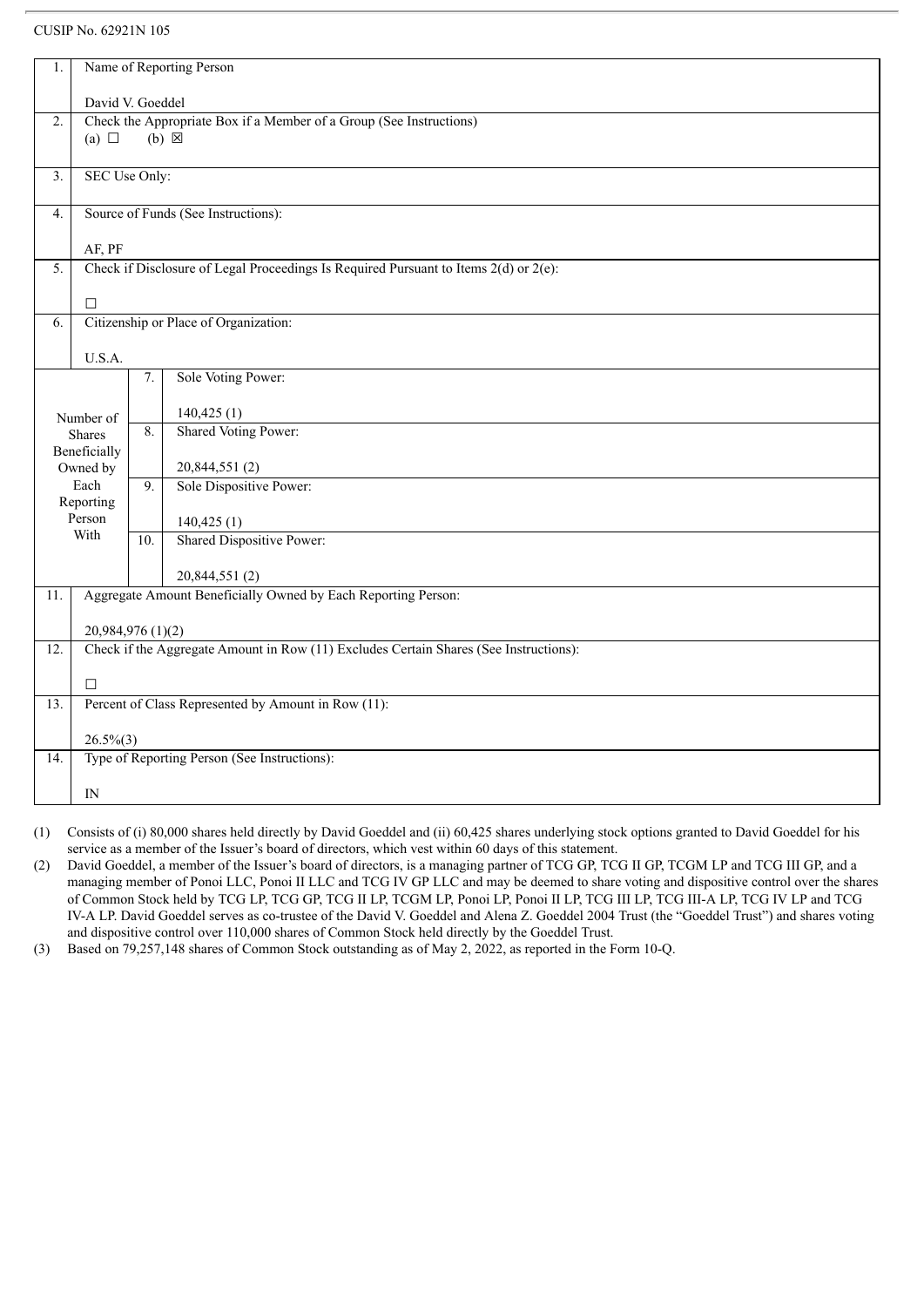| 1.                                                                                              | Name of Reporting Person                                            |     |                                                                                       |  |
|-------------------------------------------------------------------------------------------------|---------------------------------------------------------------------|-----|---------------------------------------------------------------------------------------|--|
|                                                                                                 | David V. Goeddel                                                    |     |                                                                                       |  |
| 2.                                                                                              | Check the Appropriate Box if a Member of a Group (See Instructions) |     |                                                                                       |  |
|                                                                                                 | (a) $\Box$                                                          |     | $(b) \boxtimes$                                                                       |  |
| $\overline{3}$ .                                                                                | SEC Use Only:                                                       |     |                                                                                       |  |
|                                                                                                 |                                                                     |     |                                                                                       |  |
| 4.                                                                                              | Source of Funds (See Instructions):                                 |     |                                                                                       |  |
| AF, PF                                                                                          |                                                                     |     |                                                                                       |  |
| Check if Disclosure of Legal Proceedings Is Required Pursuant to Items $2(d)$ or $2(e)$ :<br>5. |                                                                     |     |                                                                                       |  |
|                                                                                                 | $\Box$                                                              |     |                                                                                       |  |
| 6.                                                                                              |                                                                     |     | Citizenship or Place of Organization:                                                 |  |
|                                                                                                 |                                                                     |     |                                                                                       |  |
|                                                                                                 | U.S.A.                                                              |     |                                                                                       |  |
|                                                                                                 |                                                                     | 7.  | Sole Voting Power:                                                                    |  |
|                                                                                                 | Number of                                                           |     | 140,425(1)                                                                            |  |
|                                                                                                 | <b>Shares</b>                                                       | 8.  | Shared Voting Power:                                                                  |  |
|                                                                                                 | Beneficially                                                        |     |                                                                                       |  |
|                                                                                                 | Owned by                                                            |     | 20,844,551(2)                                                                         |  |
|                                                                                                 | Each<br>Reporting                                                   | 9.  | Sole Dispositive Power:                                                               |  |
|                                                                                                 | Person                                                              |     | 140,425(1)                                                                            |  |
|                                                                                                 | With                                                                | 10. | Shared Dispositive Power:                                                             |  |
|                                                                                                 |                                                                     |     | 20,844,551 (2)                                                                        |  |
| 11.                                                                                             |                                                                     |     | Aggregate Amount Beneficially Owned by Each Reporting Person:                         |  |
|                                                                                                 |                                                                     |     |                                                                                       |  |
|                                                                                                 | 20,984,976 (1)(2)                                                   |     |                                                                                       |  |
| 12.                                                                                             |                                                                     |     | Check if the Aggregate Amount in Row (11) Excludes Certain Shares (See Instructions): |  |
|                                                                                                 | $\Box$                                                              |     |                                                                                       |  |
| 13.                                                                                             |                                                                     |     | Percent of Class Represented by Amount in Row (11):                                   |  |
|                                                                                                 |                                                                     |     |                                                                                       |  |
| 14.                                                                                             | $26.5\%(3)$                                                         |     | Type of Reporting Person (See Instructions):                                          |  |
|                                                                                                 |                                                                     |     |                                                                                       |  |
|                                                                                                 | IN                                                                  |     |                                                                                       |  |

(1) Consists of (i) 80,000 shares held directly by David Goeddel and (ii) 60,425 shares underlying stock options granted to David Goeddel for his service as a member of the Issuer's board of directors, which vest within 60 days of this statement.

(2) David Goeddel, a member of the Issuer's board of directors, is a managing partner of TCG GP, TCG II GP, TCGM LP and TCG III GP, and a managing member of Ponoi LLC, Ponoi II LLC and TCG IV GP LLC and may be deemed to share voting and dispositive control over the shares of Common Stock held by TCG LP, TCG GP, TCG II LP, TCGM LP, Ponoi LP, Ponoi II LP, TCG III LP, TCG III-A LP, TCG IV LP and TCG IV-A LP. David Goeddel serves as co-trustee of the David V. Goeddel and Alena Z. Goeddel 2004 Trust (the "Goeddel Trust") and shares voting and dispositive control over 110,000 shares of Common Stock held directly by the Goeddel Trust.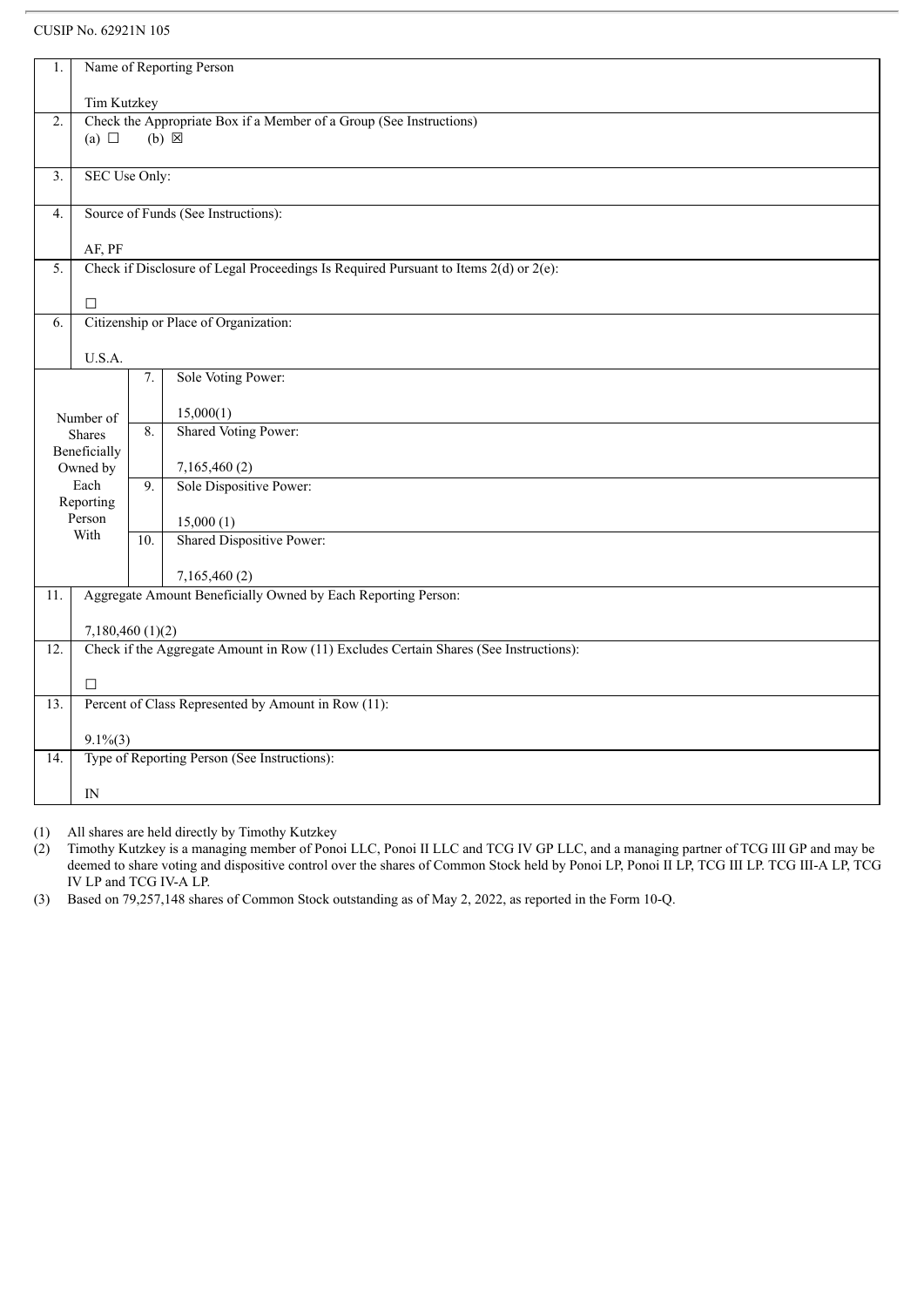| 1.                            | Name of Reporting Person                                            |     |                                                                                           |  |  |
|-------------------------------|---------------------------------------------------------------------|-----|-------------------------------------------------------------------------------------------|--|--|
|                               | Tim Kutzkey                                                         |     |                                                                                           |  |  |
| 2.                            | Check the Appropriate Box if a Member of a Group (See Instructions) |     |                                                                                           |  |  |
|                               | (a) $\Box$                                                          |     | $(b) \times$                                                                              |  |  |
|                               |                                                                     |     |                                                                                           |  |  |
| $\overline{3}$ .              | SEC Use Only:                                                       |     |                                                                                           |  |  |
| 4.                            | Source of Funds (See Instructions):                                 |     |                                                                                           |  |  |
| AF, PF                        |                                                                     |     |                                                                                           |  |  |
| 5.                            |                                                                     |     | Check if Disclosure of Legal Proceedings Is Required Pursuant to Items $2(d)$ or $2(e)$ : |  |  |
|                               |                                                                     |     |                                                                                           |  |  |
|                               | $\Box$                                                              |     |                                                                                           |  |  |
| 6.                            |                                                                     |     | Citizenship or Place of Organization:                                                     |  |  |
|                               | U.S.A.                                                              |     |                                                                                           |  |  |
|                               |                                                                     | 7.  | Sole Voting Power:                                                                        |  |  |
|                               |                                                                     |     | 15,000(1)                                                                                 |  |  |
|                               | Number of                                                           | 8.  | Shared Voting Power:                                                                      |  |  |
| <b>Shares</b><br>Beneficially |                                                                     |     |                                                                                           |  |  |
|                               | Owned by                                                            |     | 7,165,460(2)                                                                              |  |  |
|                               | Each                                                                | 9.  | Sole Dispositive Power:                                                                   |  |  |
|                               | Reporting                                                           |     |                                                                                           |  |  |
|                               | Person<br>With                                                      |     | 15,000(1)                                                                                 |  |  |
|                               |                                                                     | 10. | Shared Dispositive Power:                                                                 |  |  |
|                               |                                                                     |     | 7,165,460(2)                                                                              |  |  |
| 11.                           |                                                                     |     | Aggregate Amount Beneficially Owned by Each Reporting Person:                             |  |  |
|                               |                                                                     |     |                                                                                           |  |  |
|                               | 7,180,460(1)(2)                                                     |     |                                                                                           |  |  |
| $\overline{12}$ .             |                                                                     |     | Check if the Aggregate Amount in Row (11) Excludes Certain Shares (See Instructions):     |  |  |
|                               | $\Box$                                                              |     |                                                                                           |  |  |
| $\overline{13}$ .             |                                                                     |     | Percent of Class Represented by Amount in Row (11):                                       |  |  |
|                               |                                                                     |     |                                                                                           |  |  |
| 14.                           | $9.1\%$ $(3)$                                                       |     | Type of Reporting Person (See Instructions):                                              |  |  |
|                               |                                                                     |     |                                                                                           |  |  |
|                               | $_{\rm IN}$                                                         |     |                                                                                           |  |  |

(1) All shares are held directly by Timothy Kutzkey

(2) Timothy Kutzkey is a managing member of Ponoi LLC, Ponoi II LLC and TCG IV GP LLC, and a managing partner of TCG III GP and may be deemed to share voting and dispositive control over the shares of Common Stock held by Ponoi LP, Ponoi II LP, TCG III LP. TCG III-A LP, TCG IV LP and TCG IV-A LP.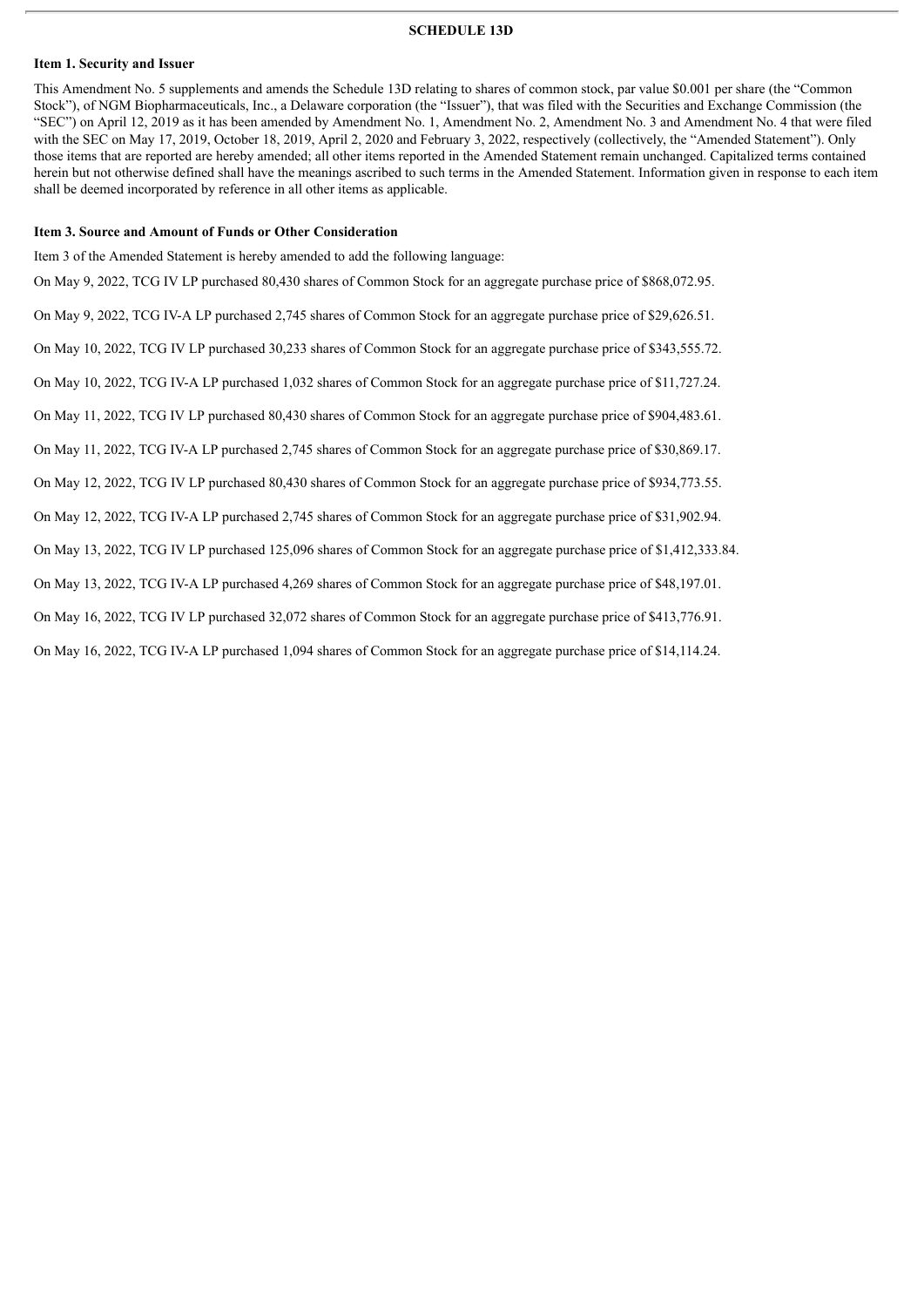### **SCHEDULE 13D**

### **Item 1. Security and Issuer**

This Amendment No. 5 supplements and amends the Schedule 13D relating to shares of common stock, par value \$0.001 per share (the "Common Stock"), of NGM Biopharmaceuticals, Inc., a Delaware corporation (the "Issuer"), that was filed with the Securities and Exchange Commission (the "SEC") on April 12, 2019 as it has been amended by Amendment No. 1, Amendment No. 2, Amendment No. 3 and Amendment No. 4 that were filed with the SEC on May 17, 2019, October 18, 2019, April 2, 2020 and February 3, 2022, respectively (collectively, the "Amended Statement"). Only those items that are reported are hereby amended; all other items reported in the Amended Statement remain unchanged. Capitalized terms contained herein but not otherwise defined shall have the meanings ascribed to such terms in the Amended Statement. Information given in response to each item shall be deemed incorporated by reference in all other items as applicable.

### **Item 3. Source and Amount of Funds or Other Consideration**

Item 3 of the Amended Statement is hereby amended to add the following language: On May 9, 2022, TCG IV LP purchased 80,430 shares of Common Stock for an aggregate purchase price of \$868,072.95. On May 9, 2022, TCG IV-A LP purchased 2,745 shares of Common Stock for an aggregate purchase price of \$29,626.51. On May 10, 2022, TCG IV LP purchased 30,233 shares of Common Stock for an aggregate purchase price of \$343,555.72. On May 10, 2022, TCG IV-A LP purchased 1,032 shares of Common Stock for an aggregate purchase price of \$11,727.24. On May 11, 2022, TCG IV LP purchased 80,430 shares of Common Stock for an aggregate purchase price of \$904,483.61. On May 11, 2022, TCG IV-A LP purchased 2,745 shares of Common Stock for an aggregate purchase price of \$30,869.17. On May 12, 2022, TCG IV LP purchased 80,430 shares of Common Stock for an aggregate purchase price of \$934,773.55. On May 12, 2022, TCG IV-A LP purchased 2,745 shares of Common Stock for an aggregate purchase price of \$31,902.94. On May 13, 2022, TCG IV LP purchased 125,096 shares of Common Stock for an aggregate purchase price of \$1,412,333.84. On May 13, 2022, TCG IV-A LP purchased 4,269 shares of Common Stock for an aggregate purchase price of \$48,197.01. On May 16, 2022, TCG IV LP purchased 32,072 shares of Common Stock for an aggregate purchase price of \$413,776.91.

On May 16, 2022, TCG IV-A LP purchased 1,094 shares of Common Stock for an aggregate purchase price of \$14,114.24.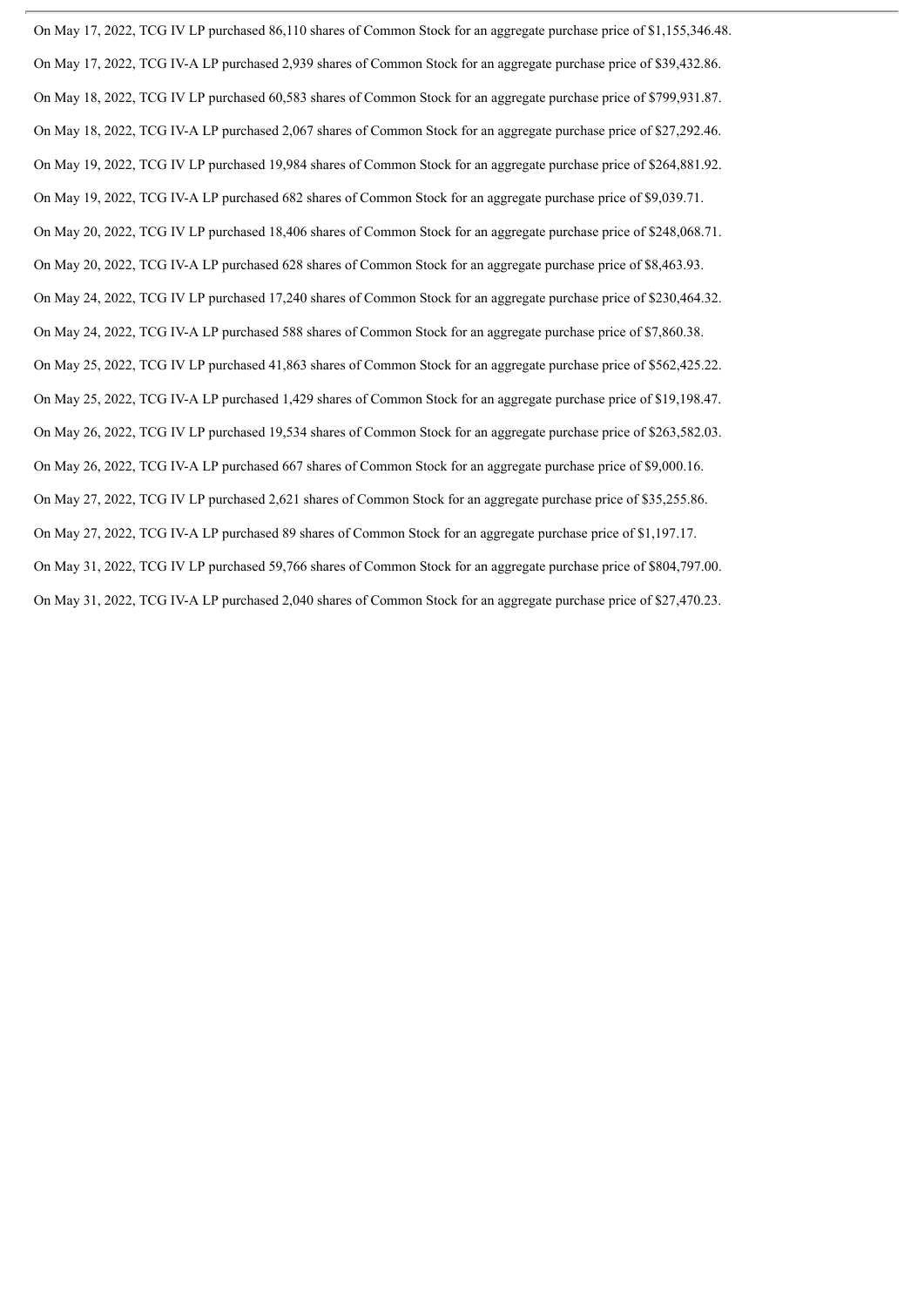On May 17, 2022, TCG IV LP purchased 86,110 shares of Common Stock for an aggregate purchase price of \$1,155,346.48. On May 17, 2022, TCG IV-A LP purchased 2,939 shares of Common Stock for an aggregate purchase price of \$39,432.86. On May 18, 2022, TCG IV LP purchased 60,583 shares of Common Stock for an aggregate purchase price of \$799,931.87. On May 18, 2022, TCG IV-A LP purchased 2,067 shares of Common Stock for an aggregate purchase price of \$27,292.46. On May 19, 2022, TCG IV LP purchased 19,984 shares of Common Stock for an aggregate purchase price of \$264,881.92. On May 19, 2022, TCG IV-A LP purchased 682 shares of Common Stock for an aggregate purchase price of \$9,039.71. On May 20, 2022, TCG IV LP purchased 18,406 shares of Common Stock for an aggregate purchase price of \$248,068.71. On May 20, 2022, TCG IV-A LP purchased 628 shares of Common Stock for an aggregate purchase price of \$8,463.93. On May 24, 2022, TCG IV LP purchased 17,240 shares of Common Stock for an aggregate purchase price of \$230,464.32. On May 24, 2022, TCG IV-A LP purchased 588 shares of Common Stock for an aggregate purchase price of \$7,860.38. On May 25, 2022, TCG IV LP purchased 41,863 shares of Common Stock for an aggregate purchase price of \$562,425.22. On May 25, 2022, TCG IV-A LP purchased 1,429 shares of Common Stock for an aggregate purchase price of \$19,198.47. On May 26, 2022, TCG IV LP purchased 19,534 shares of Common Stock for an aggregate purchase price of \$263,582.03. On May 26, 2022, TCG IV-A LP purchased 667 shares of Common Stock for an aggregate purchase price of \$9,000.16. On May 27, 2022, TCG IV LP purchased 2,621 shares of Common Stock for an aggregate purchase price of \$35,255.86. On May 27, 2022, TCG IV-A LP purchased 89 shares of Common Stock for an aggregate purchase price of \$1,197.17. On May 31, 2022, TCG IV LP purchased 59,766 shares of Common Stock for an aggregate purchase price of \$804,797.00. On May 31, 2022, TCG IV-A LP purchased 2,040 shares of Common Stock for an aggregate purchase price of \$27,470.23.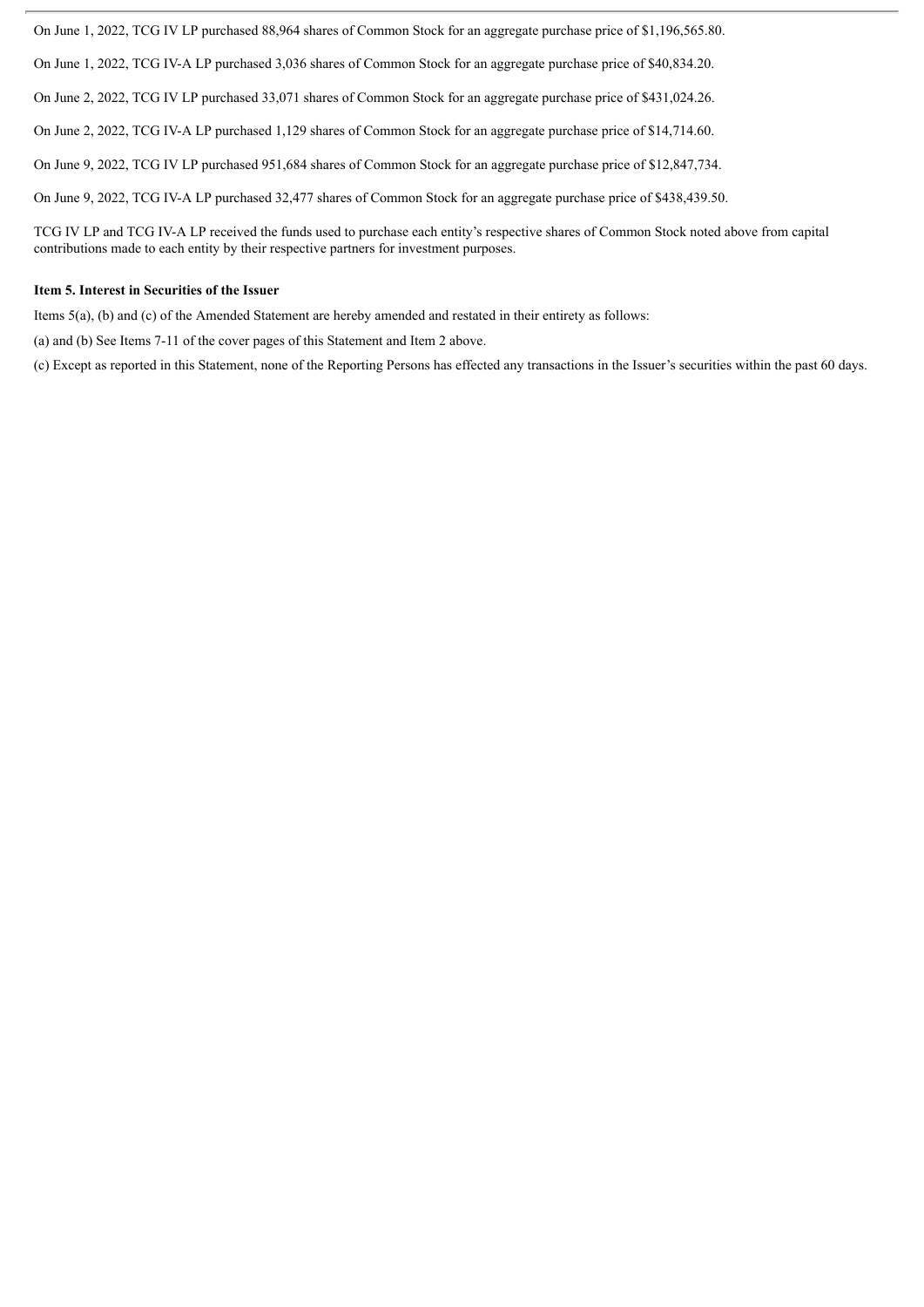On June 1, 2022, TCG IV LP purchased 88,964 shares of Common Stock for an aggregate purchase price of \$1,196,565.80.

On June 1, 2022, TCG IV-A LP purchased 3,036 shares of Common Stock for an aggregate purchase price of \$40,834.20.

On June 2, 2022, TCG IV LP purchased 33,071 shares of Common Stock for an aggregate purchase price of \$431,024.26.

On June 2, 2022, TCG IV-A LP purchased 1,129 shares of Common Stock for an aggregate purchase price of \$14,714.60.

On June 9, 2022, TCG IV LP purchased 951,684 shares of Common Stock for an aggregate purchase price of \$12,847,734.

On June 9, 2022, TCG IV-A LP purchased 32,477 shares of Common Stock for an aggregate purchase price of \$438,439.50.

TCG IV LP and TCG IV-A LP received the funds used to purchase each entity's respective shares of Common Stock noted above from capital contributions made to each entity by their respective partners for investment purposes.

### **Item 5. Interest in Securities of the Issuer**

Items 5(a), (b) and (c) of the Amended Statement are hereby amended and restated in their entirety as follows:

(a) and (b) See Items 7-11 of the cover pages of this Statement and Item 2 above.

(c) Except as reported in this Statement, none of the Reporting Persons has effected any transactions in the Issuer's securities within the past 60 days.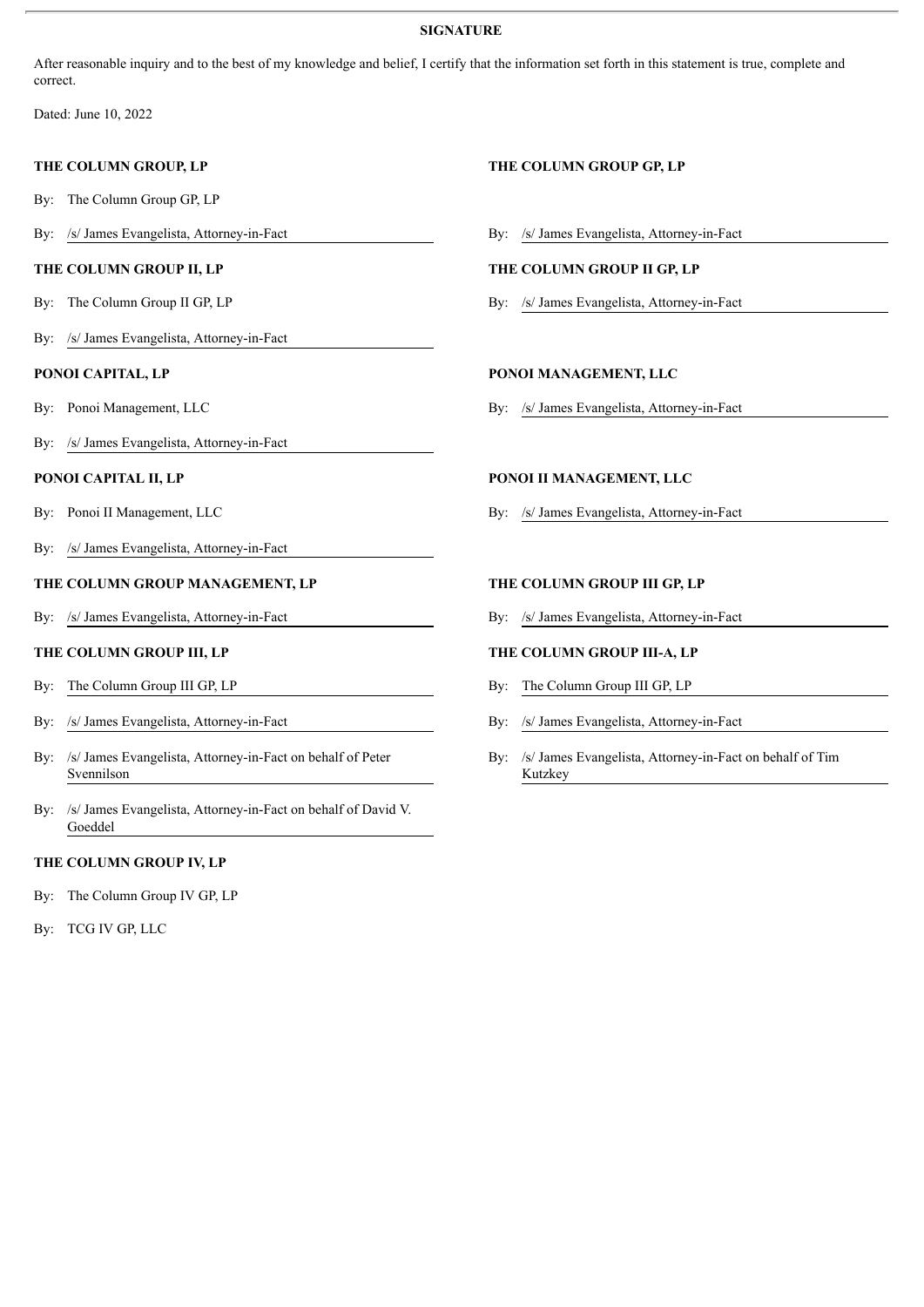# **SIGNATURE**

After reasonable inquiry and to the best of my knowledge and belief, I certify that the information set forth in this statement is true, complete and correct.

Dated: June 10, 2022

By: The Column Group GP, LP

### **THE COLUMN GROUP II, LP THE COLUMN GROUP II GP, LP**

- 
- By: /s/ James Evangelista, Attorney-in-Fact

- 
- By: /s/ James Evangelista, Attorney-in-Fact

- 
- By: /s/ James Evangelista, Attorney-in-Fact

# **THE COLUMN GROUP MANAGEMENT, LP THE COLUMN GROUP III GP, LP**

By: /s/ James Evangelista, Attorney-in-Fact By: /s/ James Evangelista, Attorney-in-Fact

- By: The Column Group III GP, LP By: The Column Group III GP, LP
- 
- By: /s/ James Evangelista, Attorney-in-Fact on behalf of Peter Svennilson
- By: /s/ James Evangelista, Attorney-in-Fact on behalf of David V. Goeddel

### **THE COLUMN GROUP IV, LP**

By: The Column Group IV GP, LP

By: TCG IV GP, LLC

# **THE COLUMN GROUP, LP THE COLUMN GROUP GP, LP**

By: /s/ James Evangelista, Attorney-in-Fact By: /s/ James Evangelista, Attorney-in-Fact

By: The Column Group II GP, LP By: /s/ James Evangelista, Attorney-in-Fact

### **PONOI CAPITAL, LP PONOI MANAGEMENT, LLC**

By: Ponoi Management, LLC By: /s/ James Evangelista, Attorney-in-Fact

# **PONOI CAPITAL II, LP PONOI II MANAGEMENT, LLC**

By: Ponoi II Management, LLC By: /s/ James Evangelista, Attorney-in-Fact

### **THE COLUMN GROUP III, LP THE COLUMN GROUP III-A, LP**

- 
- By: /s/ James Evangelista, Attorney-in-Fact By: /s/ James Evangelista, Attorney-in-Fact
	- By: /s/ James Evangelista, Attorney-in-Fact on behalf of Tim Kutzkey